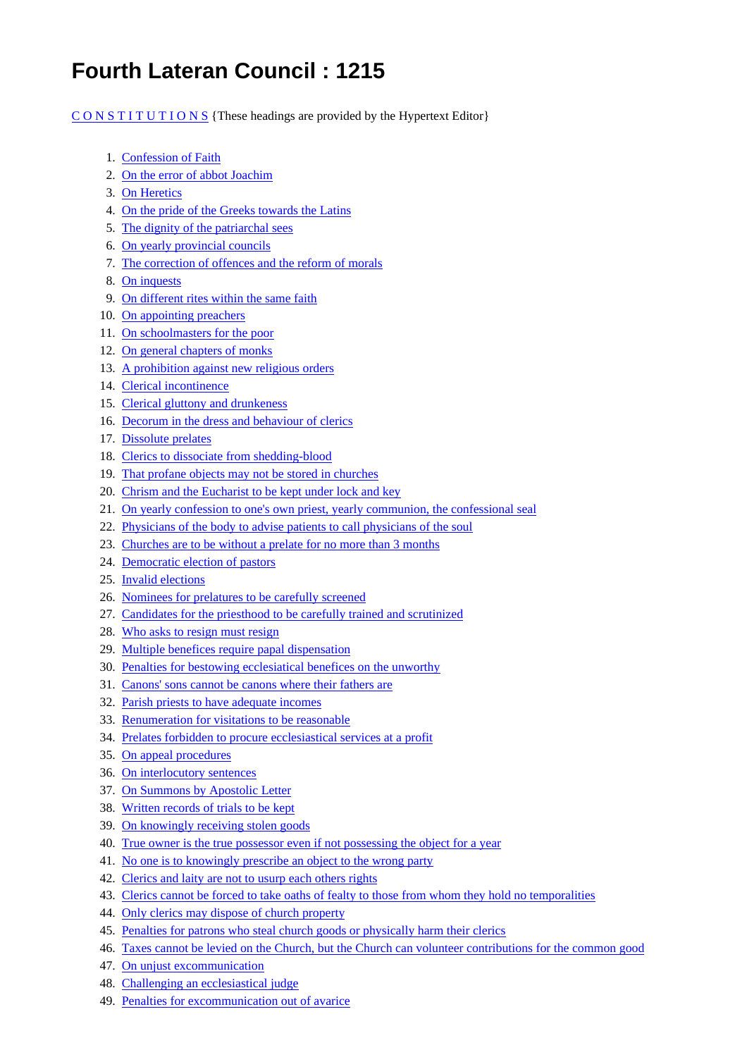# **Fourth Lateran Council : 1215**

# [C O N S T I T U T I O N S](#page-2-0) {These headings are provided by the Hypertext Editor}

- 1. [Confession of Faith](#page-2-1)
- 2. [On the error of abbot Joachim](#page-3-0)
- 3. [On Heretics](#page-4-0)
- 4. [On the pride of the Greeks towards the Latins](#page-5-0)
- 5. [The dignity of the patriarchal sees](#page-5-1)
- 6. [On yearly provincial councils](#page-5-2)
- 7. [The correction of offences and the reform of morals](#page-5-3)
- 8. [On inquests](#page-6-0)
- 9. [On different rites within the same faith](#page-6-1)
- 10. [On appointing preachers](#page-7-0)
- 11. [On schoolmasters for the poor](#page-7-1)
- 12. [On general chapters of monks](#page-7-2)
- 13. [A prohibition against new religious orders](#page-8-0)
- 14. [Clerical incontinence](#page-8-1)
- 15. [Clerical gluttony and drunkeness](#page-8-2)
- 16. [Decorum in the dress and behaviour of clerics](#page-8-3)
- 17. [Dissolute prelates](#page-8-4)
- 18. [Clerics to dissociate from shedding-blood](#page-9-0)
- 19. [That profane objects may not be stored in churches](#page-9-1)
- 20. [Chrism and the Eucharist to be kept under lock and key](#page-9-2)
- 21. [On yearly confession to one's own priest, yearly communion, the confessional seal](#page-9-3)
- 22. [Physicians of the body to advise patients to call physicians of the soul](#page-9-4)
- 23. [Churches are to be without a prelate for no more than 3 months](#page-10-0)
- 24. [Democratic election of pastors](#page-10-1)
- 25. [Invalid elections](#page-10-2)
- 26. [Nominees for prelatures to be carefully screened](#page-10-3)
- 27. [Candidates for the priesthood to be carefully trained and scrutinized](#page-11-0)
- 28. [Who asks to resign must resign](#page-11-1)
- 29. [Multiple benefices require papal dispensation](#page-11-2)
- 30. [Penalties for bestowing ecclesiatical benefices on the unworthy](#page-11-3)
- 31. [Canons' sons cannot be canons where their fathers are](#page-11-4)
- 32. [Parish priests to have adequate incomes](#page-11-5)
- 33. [Renumeration for visitations to be reasonable](#page-12-0)
- 34. [Prelates forbidden to procure ecclesiastical services at a profit](#page-12-1)
- 35. [On appeal procedures](#page-12-2)
- 36. [On interlocutory sentences](#page-12-3)
- 37. [On Summons by Apostolic Letter](#page-12-4)
- 38. [Written records of trials to be kept](#page-13-0)
- 39. [On knowingly receiving stolen goods](#page-13-1)
- 40. [True owner is the true possessor even if not possessing the object for a year](#page-13-2)
- 41. [No one is to knowingly prescribe an object to the wrong party](#page-13-3)
- 42. [Clerics and laity are not to usurp each others rights](#page-13-4)
- 43. [Clerics cannot be forced to take oaths of fealty to those from whom they hold no temporalities](#page-14-0)
- 44. [Only clerics may dispose of church property](#page-14-1)
- 45. [Penalties for patrons who steal church goods or physically harm their clerics](#page-14-2)
- 46. [Taxes cannot be levied on the Church, but the Church can volunteer contributions for the common good](#page-14-3)
- 47. [On unjust excommunication](#page-14-4)
- 48. [Challenging an ecclesiastical judge](#page-15-0)
- 49. [Penalties for excommunication out of avarice](#page-15-1)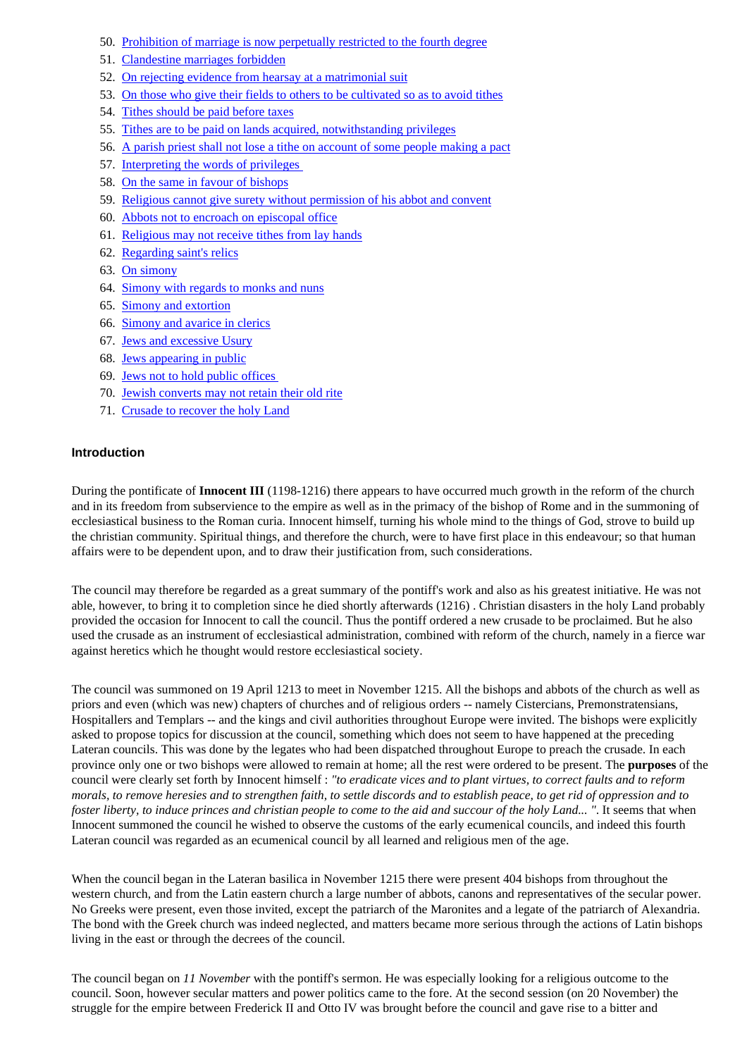- 50. [Prohibition of marriage is now perpetually restricted to the fourth degree](#page-15-2)
- 51. [Clandestine marriages forbidden](#page-16-0)
- 52. [On rejecting evidence from hearsay at a matrimonial suit](#page-16-1)
- 53. [On those who give their fields to others to be cultivated so as to avoid tithes](#page-16-2)
- 54. [Tithes should be paid before taxes](#page-17-0)
- 55. [Tithes are to be paid on lands acquired, notwithstanding privileges](#page-17-1)
- 56. [A parish priest shall not lose a tithe on account of some people making a pact](#page-17-2)
- 57. [Interpreting the words of privileges](#page-17-3)
- 58. [On the same in favour of bishops](#page-18-0)
- 59. [Religious cannot give surety without permission of his abbot and convent](#page-18-1)
- 60. [Abbots not to encroach on episcopal office](#page-18-2)
- 61. [Religious may not receive tithes from lay hands](#page-18-3)
- 62. [Regarding saint's relics](#page-18-4)
- 63. [On simony](#page-19-0)
- 64. [Simony with regards to monks and nuns](#page-19-1)
- 65. [Simony and extortion](#page-19-2)
- 66. [Simony and avarice in clerics](#page-19-3)
- 67. [Jews and excessive Usury](#page-19-4)
- 68. [Jews appearing in public](#page-20-0)
- 69. [Jews not to hold public offices](#page-20-1)
- 70. [Jewish converts may not retain their old rite](#page-20-2)
- 71. [Crusade to recover the holy Land](#page-20-3)

# **Introduction**

During the pontificate of **Innocent III** (1198-1216) there appears to have occurred much growth in the reform of the church and in its freedom from subservience to the empire as well as in the primacy of the bishop of Rome and in the summoning of ecclesiastical business to the Roman curia. Innocent himself, turning his whole mind to the things of God, strove to build up the christian community. Spiritual things, and therefore the church, were to have first place in this endeavour; so that human affairs were to be dependent upon, and to draw their justification from, such considerations.

The council may therefore be regarded as a great summary of the pontiff's work and also as his greatest initiative. He was not able, however, to bring it to completion since he died shortly afterwards (1216) . Christian disasters in the holy Land probably provided the occasion for Innocent to call the council. Thus the pontiff ordered a new crusade to be proclaimed. But he also used the crusade as an instrument of ecclesiastical administration, combined with reform of the church, namely in a fierce war against heretics which he thought would restore ecclesiastical society.

The council was summoned on 19 April 1213 to meet in November 1215. All the bishops and abbots of the church as well as priors and even (which was new) chapters of churches and of religious orders -- namely Cistercians, Premonstratensians, Hospitallers and Templars -- and the kings and civil authorities throughout Europe were invited. The bishops were explicitly asked to propose topics for discussion at the council, something which does not seem to have happened at the preceding Lateran councils. This was done by the legates who had been dispatched throughout Europe to preach the crusade. In each province only one or two bishops were allowed to remain at home; all the rest were ordered to be present. The **purposes** of the council were clearly set forth by Innocent himself : *"to eradicate vices and to plant virtues, to correct faults and to reform morals, to remove heresies and to strengthen faith, to settle discords and to establish peace, to get rid of oppression and to foster liberty, to induce princes and christian people to come to the aid and succour of the holy Land... "*. It seems that when Innocent summoned the council he wished to observe the customs of the early ecumenical councils, and indeed this fourth Lateran council was regarded as an ecumenical council by all learned and religious men of the age.

When the council began in the Lateran basilica in November 1215 there were present 404 bishops from throughout the western church, and from the Latin eastern church a large number of abbots, canons and representatives of the secular power. No Greeks were present, even those invited, except the patriarch of the Maronites and a legate of the patriarch of Alexandria. The bond with the Greek church was indeed neglected, and matters became more serious through the actions of Latin bishops living in the east or through the decrees of the council.

The council began on *11 November* with the pontiff's sermon. He was especially looking for a religious outcome to the council. Soon, however secular matters and power politics came to the fore. At the second session (on 20 November) the struggle for the empire between Frederick II and Otto IV was brought before the council and gave rise to a bitter and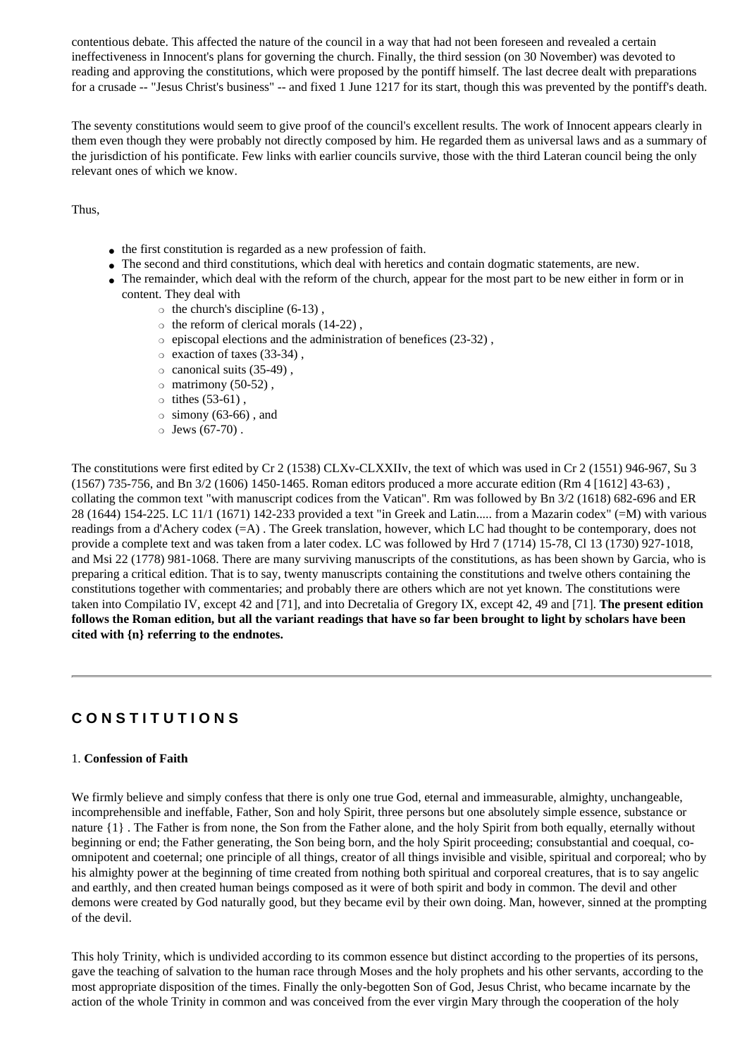contentious debate. This affected the nature of the council in a way that had not been foreseen and revealed a certain ineffectiveness in Innocent's plans for governing the church. Finally, the third session (on 30 November) was devoted to reading and approving the constitutions, which were proposed by the pontiff himself. The last decree dealt with preparations for a crusade -- "Jesus Christ's business" -- and fixed 1 June 1217 for its start, though this was prevented by the pontiff's death.

The seventy constitutions would seem to give proof of the council's excellent results. The work of Innocent appears clearly in them even though they were probably not directly composed by him. He regarded them as universal laws and as a summary of the jurisdiction of his pontificate. Few links with earlier councils survive, those with the third Lateran council being the only relevant ones of which we know.

## Thus,

- the first constitution is regarded as a new profession of faith.
- The second and third constitutions, which deal with heretics and contain dogmatic statements, are new.
- The remainder, which deal with the reform of the church, appear for the most part to be new either in form or in content. They deal with
	- $\circ$  the church's discipline (6-13),
	- $\circ$  the reform of clerical morals (14-22),
	- ❍ episcopal elections and the administration of benefices (23-32) ,
	- $\circ$  exaction of taxes (33-34),
	- $\circ$  canonical suits (35-49),
	- $\circ$  matrimony (50-52),
	- $\circ$  tithes (53-61),
	- $\circ$  simony (63-66), and
	- $\circ$  Jews (67-70).

The constitutions were first edited by Cr 2 (1538) CLXv-CLXXIIv, the text of which was used in Cr 2 (1551) 946-967, Su 3 (1567) 735-756, and Bn 3/2 (1606) 1450-1465. Roman editors produced a more accurate edition (Rm 4 [1612] 43-63) , collating the common text "with manuscript codices from the Vatican". Rm was followed by Bn 3/2 (1618) 682-696 and ER 28 (1644) 154-225. LC 11/1 (1671) 142-233 provided a text "in Greek and Latin..... from a Mazarin codex" (=M) with various readings from a d'Achery codex (=A) . The Greek translation, however, which LC had thought to be contemporary, does not provide a complete text and was taken from a later codex. LC was followed by Hrd 7 (1714) 15-78, Cl 13 (1730) 927-1018, and Msi 22 (1778) 981-1068. There are many surviving manuscripts of the constitutions, as has been shown by Garcia, who is preparing a critical edition. That is to say, twenty manuscripts containing the constitutions and twelve others containing the constitutions together with commentaries; and probably there are others which are not yet known. The constitutions were taken into Compilatio IV, except 42 and [71], and into Decretalia of Gregory IX, except 42, 49 and [71]. **The present edition follows the Roman edition, but all the variant readings that have so far been brought to light by scholars have been cited with {n} referring to the endnotes.**

# <span id="page-2-0"></span>**C O N S T I T U T I O N S**

# <span id="page-2-1"></span>1. **Confession of Faith**

We firmly believe and simply confess that there is only one true God, eternal and immeasurable, almighty, unchangeable, incomprehensible and ineffable, Father, Son and holy Spirit, three persons but one absolutely simple essence, substance or nature {1} . The Father is from none, the Son from the Father alone, and the holy Spirit from both equally, eternally without beginning or end; the Father generating, the Son being born, and the holy Spirit proceeding; consubstantial and coequal, coomnipotent and coeternal; one principle of all things, creator of all things invisible and visible, spiritual and corporeal; who by his almighty power at the beginning of time created from nothing both spiritual and corporeal creatures, that is to say angelic and earthly, and then created human beings composed as it were of both spirit and body in common. The devil and other demons were created by God naturally good, but they became evil by their own doing. Man, however, sinned at the prompting of the devil.

This holy Trinity, which is undivided according to its common essence but distinct according to the properties of its persons, gave the teaching of salvation to the human race through Moses and the holy prophets and his other servants, according to the most appropriate disposition of the times. Finally the only-begotten Son of God, Jesus Christ, who became incarnate by the action of the whole Trinity in common and was conceived from the ever virgin Mary through the cooperation of the holy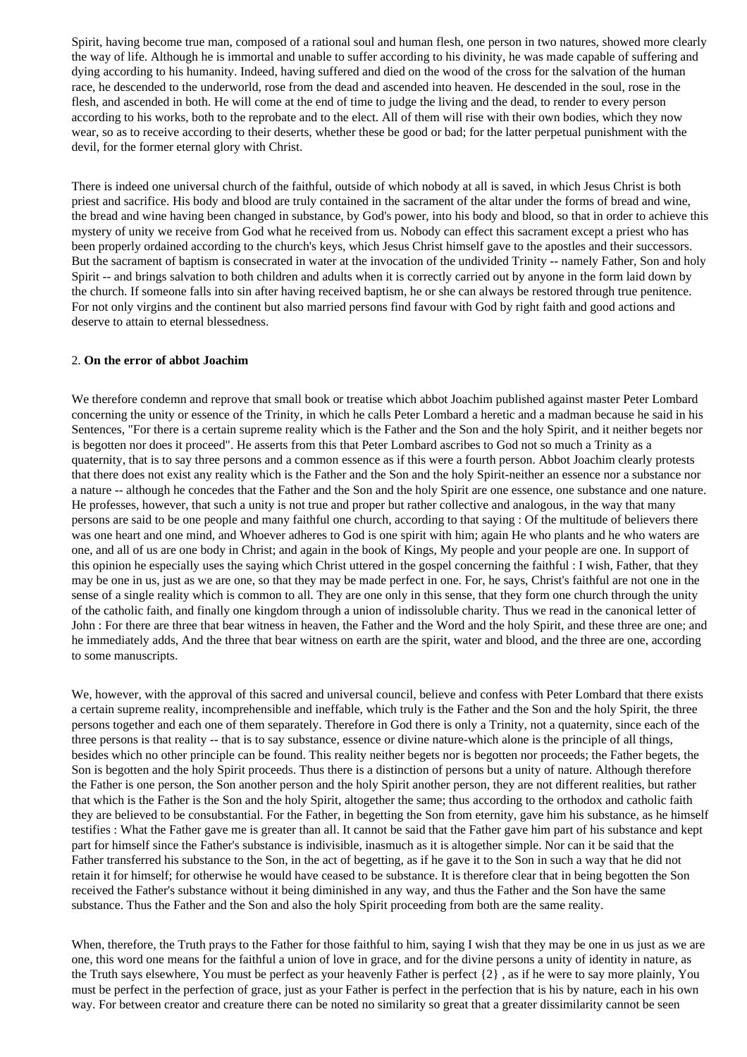Spirit, having become true man, composed of a rational soul and human flesh, one person in two natures, showed more clearly the way of life. Although he is immortal and unable to suffer according to his divinity, he was made capable of suffering and dying according to his humanity. Indeed, having suffered and died on the wood of the cross for the salvation of the human race, he descended to the underworld, rose from the dead and ascended into heaven. He descended in the soul, rose in the flesh, and ascended in both. He will come at the end of time to judge the living and the dead, to render to every person according to his works, both to the reprobate and to the elect. All of them will rise with their own bodies, which they now wear, so as to receive according to their deserts, whether these be good or bad; for the latter perpetual punishment with the devil, for the former eternal glory with Christ.

There is indeed one universal church of the faithful, outside of which nobody at all is saved, in which Jesus Christ is both priest and sacrifice. His body and blood are truly contained in the sacrament of the altar under the forms of bread and wine, the bread and wine having been changed in substance, by God's power, into his body and blood, so that in order to achieve this mystery of unity we receive from God what he received from us. Nobody can effect this sacrament except a priest who has been properly ordained according to the church's keys, which Jesus Christ himself gave to the apostles and their successors. But the sacrament of baptism is consecrated in water at the invocation of the undivided Trinity -- namely Father, Son and holy Spirit -- and brings salvation to both children and adults when it is correctly carried out by anyone in the form laid down by the church. If someone falls into sin after having received baptism, he or she can always be restored through true penitence. For not only virgins and the continent but also married persons find favour with God by right faith and good actions and deserve to attain to eternal blessedness.

# <span id="page-3-0"></span>2. **On the error of abbot Joachim**

We therefore condemn and reprove that small book or treatise which abbot Joachim published against master Peter Lombard concerning the unity or essence of the Trinity, in which he calls Peter Lombard a heretic and a madman because he said in his Sentences, "For there is a certain supreme reality which is the Father and the Son and the holy Spirit, and it neither begets nor is begotten nor does it proceed". He asserts from this that Peter Lombard ascribes to God not so much a Trinity as a quaternity, that is to say three persons and a common essence as if this were a fourth person. Abbot Joachim clearly protests that there does not exist any reality which is the Father and the Son and the holy Spirit-neither an essence nor a substance nor a nature -- although he concedes that the Father and the Son and the holy Spirit are one essence, one substance and one nature. He professes, however, that such a unity is not true and proper but rather collective and analogous, in the way that many persons are said to be one people and many faithful one church, according to that saying : Of the multitude of believers there was one heart and one mind, and Whoever adheres to God is one spirit with him; again He who plants and he who waters are one, and all of us are one body in Christ; and again in the book of Kings, My people and your people are one. In support of this opinion he especially uses the saying which Christ uttered in the gospel concerning the faithful : I wish, Father, that they may be one in us, just as we are one, so that they may be made perfect in one. For, he says, Christ's faithful are not one in the sense of a single reality which is common to all. They are one only in this sense, that they form one church through the unity of the catholic faith, and finally one kingdom through a union of indissoluble charity. Thus we read in the canonical letter of John : For there are three that bear witness in heaven, the Father and the Word and the holy Spirit, and these three are one; and he immediately adds, And the three that bear witness on earth are the spirit, water and blood, and the three are one, according to some manuscripts.

We, however, with the approval of this sacred and universal council, believe and confess with Peter Lombard that there exists a certain supreme reality, incomprehensible and ineffable, which truly is the Father and the Son and the holy Spirit, the three persons together and each one of them separately. Therefore in God there is only a Trinity, not a quaternity, since each of the three persons is that reality -- that is to say substance, essence or divine nature-which alone is the principle of all things, besides which no other principle can be found. This reality neither begets nor is begotten nor proceeds; the Father begets, the Son is begotten and the holy Spirit proceeds. Thus there is a distinction of persons but a unity of nature. Although therefore the Father is one person, the Son another person and the holy Spirit another person, they are not different realities, but rather that which is the Father is the Son and the holy Spirit, altogether the same; thus according to the orthodox and catholic faith they are believed to be consubstantial. For the Father, in begetting the Son from eternity, gave him his substance, as he himself testifies : What the Father gave me is greater than all. It cannot be said that the Father gave him part of his substance and kept part for himself since the Father's substance is indivisible, inasmuch as it is altogether simple. Nor can it be said that the Father transferred his substance to the Son, in the act of begetting, as if he gave it to the Son in such a way that he did not retain it for himself; for otherwise he would have ceased to be substance. It is therefore clear that in being begotten the Son received the Father's substance without it being diminished in any way, and thus the Father and the Son have the same substance. Thus the Father and the Son and also the holy Spirit proceeding from both are the same reality.

When, therefore, the Truth prays to the Father for those faithful to him, saying I wish that they may be one in us just as we are one, this word one means for the faithful a union of love in grace, and for the divine persons a unity of identity in nature, as the Truth says elsewhere, You must be perfect as your heavenly Father is perfect {2} , as if he were to say more plainly, You must be perfect in the perfection of grace, just as your Father is perfect in the perfection that is his by nature, each in his own way. For between creator and creature there can be noted no similarity so great that a greater dissimilarity cannot be seen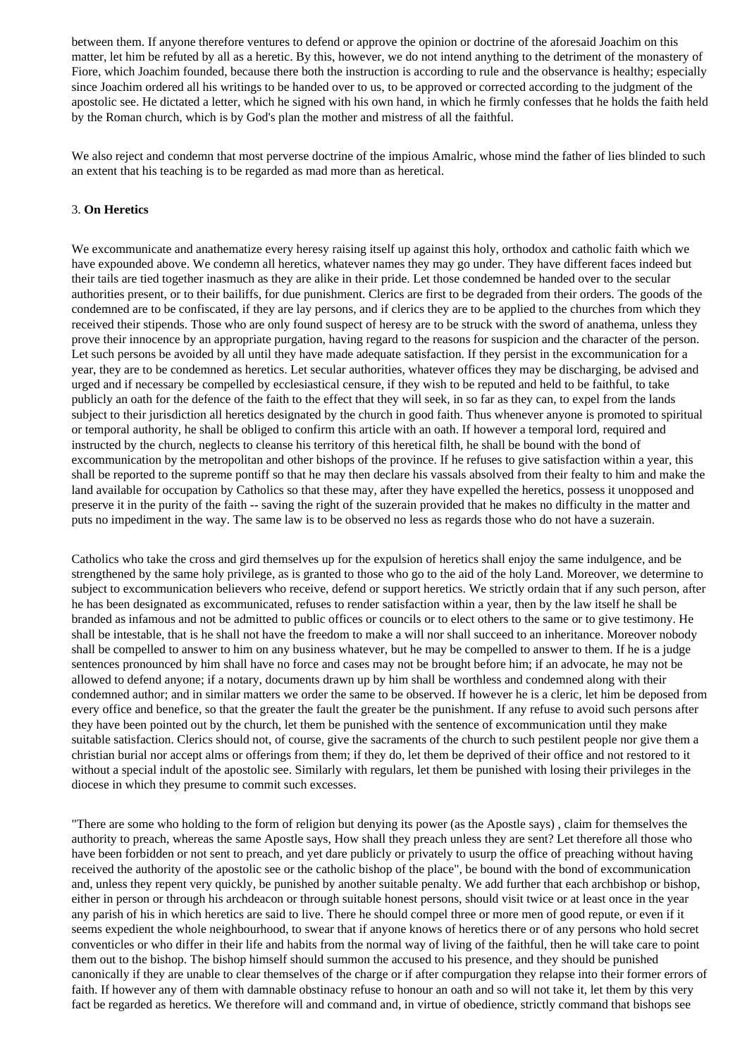between them. If anyone therefore ventures to defend or approve the opinion or doctrine of the aforesaid Joachim on this matter, let him be refuted by all as a heretic. By this, however, we do not intend anything to the detriment of the monastery of Fiore, which Joachim founded, because there both the instruction is according to rule and the observance is healthy; especially since Joachim ordered all his writings to be handed over to us, to be approved or corrected according to the judgment of the apostolic see. He dictated a letter, which he signed with his own hand, in which he firmly confesses that he holds the faith held by the Roman church, which is by God's plan the mother and mistress of all the faithful.

We also reject and condemn that most perverse doctrine of the impious Amalric, whose mind the father of lies blinded to such an extent that his teaching is to be regarded as mad more than as heretical.

# <span id="page-4-0"></span>3. **On Heretics**

We excommunicate and anathematize every heresy raising itself up against this holy, orthodox and catholic faith which we have expounded above. We condemn all heretics, whatever names they may go under. They have different faces indeed but their tails are tied together inasmuch as they are alike in their pride. Let those condemned be handed over to the secular authorities present, or to their bailiffs, for due punishment. Clerics are first to be degraded from their orders. The goods of the condemned are to be confiscated, if they are lay persons, and if clerics they are to be applied to the churches from which they received their stipends. Those who are only found suspect of heresy are to be struck with the sword of anathema, unless they prove their innocence by an appropriate purgation, having regard to the reasons for suspicion and the character of the person. Let such persons be avoided by all until they have made adequate satisfaction. If they persist in the excommunication for a year, they are to be condemned as heretics. Let secular authorities, whatever offices they may be discharging, be advised and urged and if necessary be compelled by ecclesiastical censure, if they wish to be reputed and held to be faithful, to take publicly an oath for the defence of the faith to the effect that they will seek, in so far as they can, to expel from the lands subject to their jurisdiction all heretics designated by the church in good faith. Thus whenever anyone is promoted to spiritual or temporal authority, he shall be obliged to confirm this article with an oath. If however a temporal lord, required and instructed by the church, neglects to cleanse his territory of this heretical filth, he shall be bound with the bond of excommunication by the metropolitan and other bishops of the province. If he refuses to give satisfaction within a year, this shall be reported to the supreme pontiff so that he may then declare his vassals absolved from their fealty to him and make the land available for occupation by Catholics so that these may, after they have expelled the heretics, possess it unopposed and preserve it in the purity of the faith -- saving the right of the suzerain provided that he makes no difficulty in the matter and puts no impediment in the way. The same law is to be observed no less as regards those who do not have a suzerain.

Catholics who take the cross and gird themselves up for the expulsion of heretics shall enjoy the same indulgence, and be strengthened by the same holy privilege, as is granted to those who go to the aid of the holy Land. Moreover, we determine to subject to excommunication believers who receive, defend or support heretics. We strictly ordain that if any such person, after he has been designated as excommunicated, refuses to render satisfaction within a year, then by the law itself he shall be branded as infamous and not be admitted to public offices or councils or to elect others to the same or to give testimony. He shall be intestable, that is he shall not have the freedom to make a will nor shall succeed to an inheritance. Moreover nobody shall be compelled to answer to him on any business whatever, but he may be compelled to answer to them. If he is a judge sentences pronounced by him shall have no force and cases may not be brought before him; if an advocate, he may not be allowed to defend anyone; if a notary, documents drawn up by him shall be worthless and condemned along with their condemned author; and in similar matters we order the same to be observed. If however he is a cleric, let him be deposed from every office and benefice, so that the greater the fault the greater be the punishment. If any refuse to avoid such persons after they have been pointed out by the church, let them be punished with the sentence of excommunication until they make suitable satisfaction. Clerics should not, of course, give the sacraments of the church to such pestilent people nor give them a christian burial nor accept alms or offerings from them; if they do, let them be deprived of their office and not restored to it without a special indult of the apostolic see. Similarly with regulars, let them be punished with losing their privileges in the diocese in which they presume to commit such excesses.

"There are some who holding to the form of religion but denying its power (as the Apostle says) , claim for themselves the authority to preach, whereas the same Apostle says, How shall they preach unless they are sent? Let therefore all those who have been forbidden or not sent to preach, and yet dare publicly or privately to usurp the office of preaching without having received the authority of the apostolic see or the catholic bishop of the place", be bound with the bond of excommunication and, unless they repent very quickly, be punished by another suitable penalty. We add further that each archbishop or bishop, either in person or through his archdeacon or through suitable honest persons, should visit twice or at least once in the year any parish of his in which heretics are said to live. There he should compel three or more men of good repute, or even if it seems expedient the whole neighbourhood, to swear that if anyone knows of heretics there or of any persons who hold secret conventicles or who differ in their life and habits from the normal way of living of the faithful, then he will take care to point them out to the bishop. The bishop himself should summon the accused to his presence, and they should be punished canonically if they are unable to clear themselves of the charge or if after compurgation they relapse into their former errors of faith. If however any of them with damnable obstinacy refuse to honour an oath and so will not take it, let them by this very fact be regarded as heretics. We therefore will and command and, in virtue of obedience, strictly command that bishops see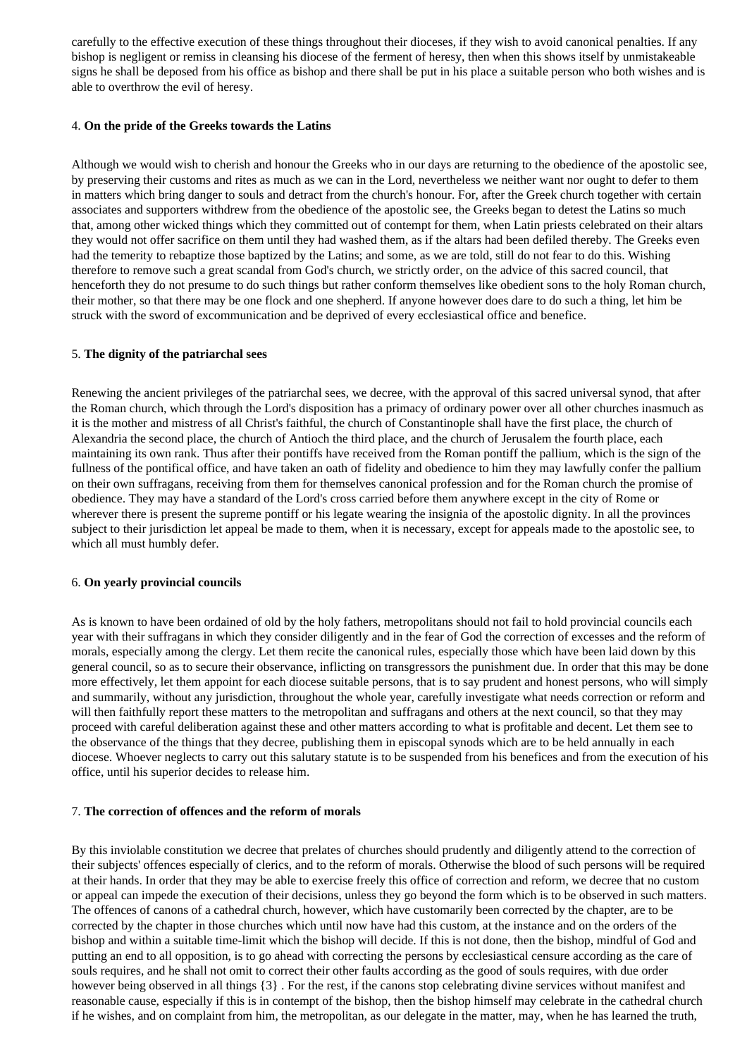carefully to the effective execution of these things throughout their dioceses, if they wish to avoid canonical penalties. If any bishop is negligent or remiss in cleansing his diocese of the ferment of heresy, then when this shows itself by unmistakeable signs he shall be deposed from his office as bishop and there shall be put in his place a suitable person who both wishes and is able to overthrow the evil of heresy.

# <span id="page-5-0"></span>4. **On the pride of the Greeks towards the Latins**

Although we would wish to cherish and honour the Greeks who in our days are returning to the obedience of the apostolic see, by preserving their customs and rites as much as we can in the Lord, nevertheless we neither want nor ought to defer to them in matters which bring danger to souls and detract from the church's honour. For, after the Greek church together with certain associates and supporters withdrew from the obedience of the apostolic see, the Greeks began to detest the Latins so much that, among other wicked things which they committed out of contempt for them, when Latin priests celebrated on their altars they would not offer sacrifice on them until they had washed them, as if the altars had been defiled thereby. The Greeks even had the temerity to rebaptize those baptized by the Latins; and some, as we are told, still do not fear to do this. Wishing therefore to remove such a great scandal from God's church, we strictly order, on the advice of this sacred council, that henceforth they do not presume to do such things but rather conform themselves like obedient sons to the holy Roman church, their mother, so that there may be one flock and one shepherd. If anyone however does dare to do such a thing, let him be struck with the sword of excommunication and be deprived of every ecclesiastical office and benefice.

# <span id="page-5-1"></span>5. **The dignity of the patriarchal sees**

Renewing the ancient privileges of the patriarchal sees, we decree, with the approval of this sacred universal synod, that after the Roman church, which through the Lord's disposition has a primacy of ordinary power over all other churches inasmuch as it is the mother and mistress of all Christ's faithful, the church of Constantinople shall have the first place, the church of Alexandria the second place, the church of Antioch the third place, and the church of Jerusalem the fourth place, each maintaining its own rank. Thus after their pontiffs have received from the Roman pontiff the pallium, which is the sign of the fullness of the pontifical office, and have taken an oath of fidelity and obedience to him they may lawfully confer the pallium on their own suffragans, receiving from them for themselves canonical profession and for the Roman church the promise of obedience. They may have a standard of the Lord's cross carried before them anywhere except in the city of Rome or wherever there is present the supreme pontiff or his legate wearing the insignia of the apostolic dignity. In all the provinces subject to their jurisdiction let appeal be made to them, when it is necessary, except for appeals made to the apostolic see, to which all must humbly defer.

# <span id="page-5-2"></span>6. **On yearly provincial councils**

As is known to have been ordained of old by the holy fathers, metropolitans should not fail to hold provincial councils each year with their suffragans in which they consider diligently and in the fear of God the correction of excesses and the reform of morals, especially among the clergy. Let them recite the canonical rules, especially those which have been laid down by this general council, so as to secure their observance, inflicting on transgressors the punishment due. In order that this may be done more effectively, let them appoint for each diocese suitable persons, that is to say prudent and honest persons, who will simply and summarily, without any jurisdiction, throughout the whole year, carefully investigate what needs correction or reform and will then faithfully report these matters to the metropolitan and suffragans and others at the next council, so that they may proceed with careful deliberation against these and other matters according to what is profitable and decent. Let them see to the observance of the things that they decree, publishing them in episcopal synods which are to be held annually in each diocese. Whoever neglects to carry out this salutary statute is to be suspended from his benefices and from the execution of his office, until his superior decides to release him.

# <span id="page-5-3"></span>7. **The correction of offences and the reform of morals**

By this inviolable constitution we decree that prelates of churches should prudently and diligently attend to the correction of their subjects' offences especially of clerics, and to the reform of morals. Otherwise the blood of such persons will be required at their hands. In order that they may be able to exercise freely this office of correction and reform, we decree that no custom or appeal can impede the execution of their decisions, unless they go beyond the form which is to be observed in such matters. The offences of canons of a cathedral church, however, which have customarily been corrected by the chapter, are to be corrected by the chapter in those churches which until now have had this custom, at the instance and on the orders of the bishop and within a suitable time-limit which the bishop will decide. If this is not done, then the bishop, mindful of God and putting an end to all opposition, is to go ahead with correcting the persons by ecclesiastical censure according as the care of souls requires, and he shall not omit to correct their other faults according as the good of souls requires, with due order however being observed in all things {3} . For the rest, if the canons stop celebrating divine services without manifest and reasonable cause, especially if this is in contempt of the bishop, then the bishop himself may celebrate in the cathedral church if he wishes, and on complaint from him, the metropolitan, as our delegate in the matter, may, when he has learned the truth,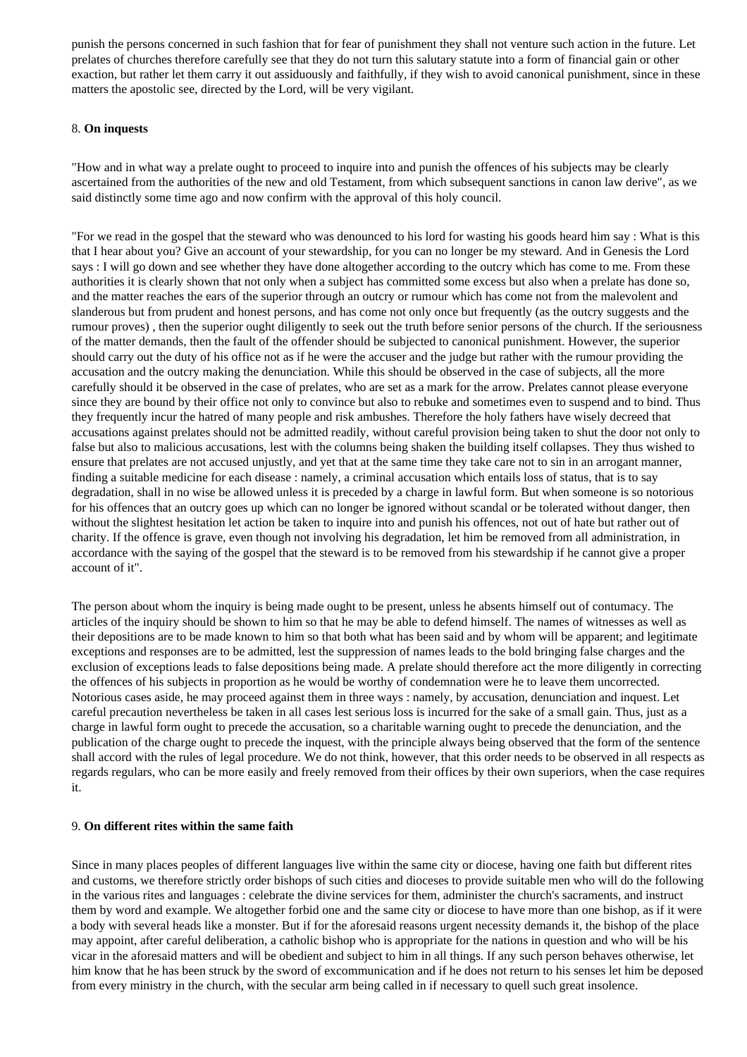punish the persons concerned in such fashion that for fear of punishment they shall not venture such action in the future. Let prelates of churches therefore carefully see that they do not turn this salutary statute into a form of financial gain or other exaction, but rather let them carry it out assiduously and faithfully, if they wish to avoid canonical punishment, since in these matters the apostolic see, directed by the Lord, will be very vigilant.

# <span id="page-6-0"></span>8. **On inquests**

"How and in what way a prelate ought to proceed to inquire into and punish the offences of his subjects may be clearly ascertained from the authorities of the new and old Testament, from which subsequent sanctions in canon law derive", as we said distinctly some time ago and now confirm with the approval of this holy council.

"For we read in the gospel that the steward who was denounced to his lord for wasting his goods heard him say : What is this that I hear about you? Give an account of your stewardship, for you can no longer be my steward. And in Genesis the Lord says : I will go down and see whether they have done altogether according to the outcry which has come to me. From these authorities it is clearly shown that not only when a subject has committed some excess but also when a prelate has done so, and the matter reaches the ears of the superior through an outcry or rumour which has come not from the malevolent and slanderous but from prudent and honest persons, and has come not only once but frequently (as the outcry suggests and the rumour proves) , then the superior ought diligently to seek out the truth before senior persons of the church. If the seriousness of the matter demands, then the fault of the offender should be subjected to canonical punishment. However, the superior should carry out the duty of his office not as if he were the accuser and the judge but rather with the rumour providing the accusation and the outcry making the denunciation. While this should be observed in the case of subjects, all the more carefully should it be observed in the case of prelates, who are set as a mark for the arrow. Prelates cannot please everyone since they are bound by their office not only to convince but also to rebuke and sometimes even to suspend and to bind. Thus they frequently incur the hatred of many people and risk ambushes. Therefore the holy fathers have wisely decreed that accusations against prelates should not be admitted readily, without careful provision being taken to shut the door not only to false but also to malicious accusations, lest with the columns being shaken the building itself collapses. They thus wished to ensure that prelates are not accused unjustly, and yet that at the same time they take care not to sin in an arrogant manner, finding a suitable medicine for each disease : namely, a criminal accusation which entails loss of status, that is to say degradation, shall in no wise be allowed unless it is preceded by a charge in lawful form. But when someone is so notorious for his offences that an outcry goes up which can no longer be ignored without scandal or be tolerated without danger, then without the slightest hesitation let action be taken to inquire into and punish his offences, not out of hate but rather out of charity. If the offence is grave, even though not involving his degradation, let him be removed from all administration, in accordance with the saying of the gospel that the steward is to be removed from his stewardship if he cannot give a proper account of it".

The person about whom the inquiry is being made ought to be present, unless he absents himself out of contumacy. The articles of the inquiry should be shown to him so that he may be able to defend himself. The names of witnesses as well as their depositions are to be made known to him so that both what has been said and by whom will be apparent; and legitimate exceptions and responses are to be admitted, lest the suppression of names leads to the bold bringing false charges and the exclusion of exceptions leads to false depositions being made. A prelate should therefore act the more diligently in correcting the offences of his subjects in proportion as he would be worthy of condemnation were he to leave them uncorrected. Notorious cases aside, he may proceed against them in three ways : namely, by accusation, denunciation and inquest. Let careful precaution nevertheless be taken in all cases lest serious loss is incurred for the sake of a small gain. Thus, just as a charge in lawful form ought to precede the accusation, so a charitable warning ought to precede the denunciation, and the publication of the charge ought to precede the inquest, with the principle always being observed that the form of the sentence shall accord with the rules of legal procedure. We do not think, however, that this order needs to be observed in all respects as regards regulars, who can be more easily and freely removed from their offices by their own superiors, when the case requires it.

## <span id="page-6-1"></span>9. **On different rites within the same faith**

Since in many places peoples of different languages live within the same city or diocese, having one faith but different rites and customs, we therefore strictly order bishops of such cities and dioceses to provide suitable men who will do the following in the various rites and languages : celebrate the divine services for them, administer the church's sacraments, and instruct them by word and example. We altogether forbid one and the same city or diocese to have more than one bishop, as if it were a body with several heads like a monster. But if for the aforesaid reasons urgent necessity demands it, the bishop of the place may appoint, after careful deliberation, a catholic bishop who is appropriate for the nations in question and who will be his vicar in the aforesaid matters and will be obedient and subject to him in all things. If any such person behaves otherwise, let him know that he has been struck by the sword of excommunication and if he does not return to his senses let him be deposed from every ministry in the church, with the secular arm being called in if necessary to quell such great insolence.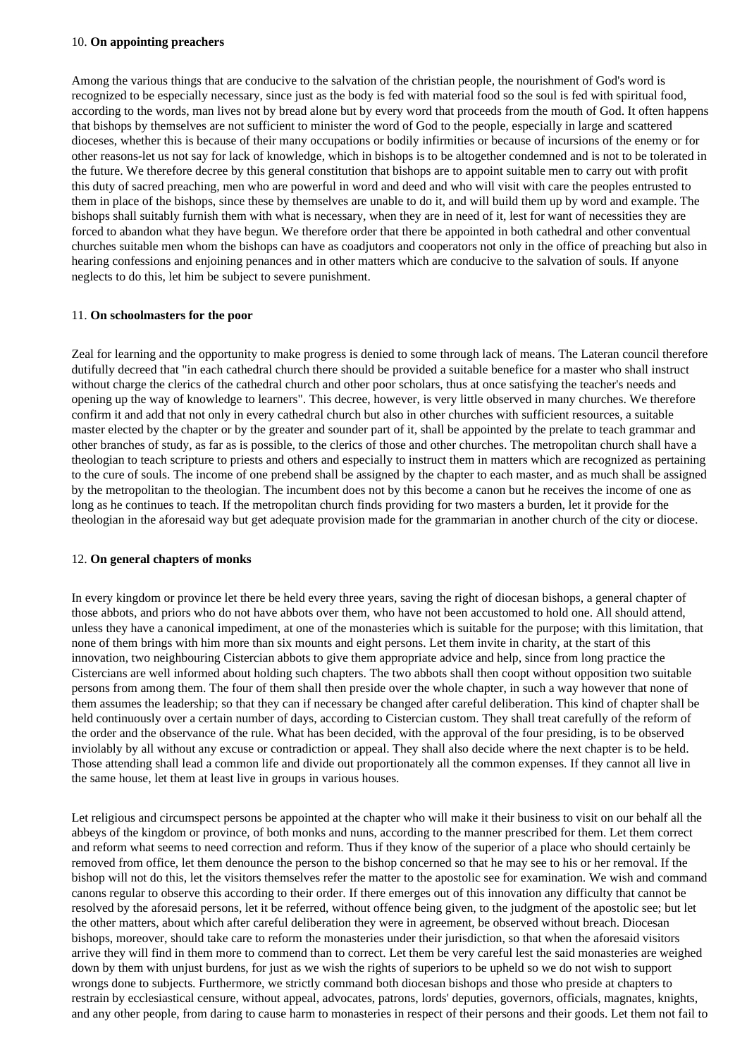## <span id="page-7-0"></span>10. **On appointing preachers**

Among the various things that are conducive to the salvation of the christian people, the nourishment of God's word is recognized to be especially necessary, since just as the body is fed with material food so the soul is fed with spiritual food, according to the words, man lives not by bread alone but by every word that proceeds from the mouth of God. It often happens that bishops by themselves are not sufficient to minister the word of God to the people, especially in large and scattered dioceses, whether this is because of their many occupations or bodily infirmities or because of incursions of the enemy or for other reasons-let us not say for lack of knowledge, which in bishops is to be altogether condemned and is not to be tolerated in the future. We therefore decree by this general constitution that bishops are to appoint suitable men to carry out with profit this duty of sacred preaching, men who are powerful in word and deed and who will visit with care the peoples entrusted to them in place of the bishops, since these by themselves are unable to do it, and will build them up by word and example. The bishops shall suitably furnish them with what is necessary, when they are in need of it, lest for want of necessities they are forced to abandon what they have begun. We therefore order that there be appointed in both cathedral and other conventual churches suitable men whom the bishops can have as coadjutors and cooperators not only in the office of preaching but also in hearing confessions and enjoining penances and in other matters which are conducive to the salvation of souls. If anyone neglects to do this, let him be subject to severe punishment.

## <span id="page-7-1"></span>11. **On schoolmasters for the poor**

Zeal for learning and the opportunity to make progress is denied to some through lack of means. The Lateran council therefore dutifully decreed that "in each cathedral church there should be provided a suitable benefice for a master who shall instruct without charge the clerics of the cathedral church and other poor scholars, thus at once satisfying the teacher's needs and opening up the way of knowledge to learners". This decree, however, is very little observed in many churches. We therefore confirm it and add that not only in every cathedral church but also in other churches with sufficient resources, a suitable master elected by the chapter or by the greater and sounder part of it, shall be appointed by the prelate to teach grammar and other branches of study, as far as is possible, to the clerics of those and other churches. The metropolitan church shall have a theologian to teach scripture to priests and others and especially to instruct them in matters which are recognized as pertaining to the cure of souls. The income of one prebend shall be assigned by the chapter to each master, and as much shall be assigned by the metropolitan to the theologian. The incumbent does not by this become a canon but he receives the income of one as long as he continues to teach. If the metropolitan church finds providing for two masters a burden, let it provide for the theologian in the aforesaid way but get adequate provision made for the grammarian in another church of the city or diocese.

## <span id="page-7-2"></span>12. **On general chapters of monks**

In every kingdom or province let there be held every three years, saving the right of diocesan bishops, a general chapter of those abbots, and priors who do not have abbots over them, who have not been accustomed to hold one. All should attend, unless they have a canonical impediment, at one of the monasteries which is suitable for the purpose; with this limitation, that none of them brings with him more than six mounts and eight persons. Let them invite in charity, at the start of this innovation, two neighbouring Cistercian abbots to give them appropriate advice and help, since from long practice the Cistercians are well informed about holding such chapters. The two abbots shall then coopt without opposition two suitable persons from among them. The four of them shall then preside over the whole chapter, in such a way however that none of them assumes the leadership; so that they can if necessary be changed after careful deliberation. This kind of chapter shall be held continuously over a certain number of days, according to Cistercian custom. They shall treat carefully of the reform of the order and the observance of the rule. What has been decided, with the approval of the four presiding, is to be observed inviolably by all without any excuse or contradiction or appeal. They shall also decide where the next chapter is to be held. Those attending shall lead a common life and divide out proportionately all the common expenses. If they cannot all live in the same house, let them at least live in groups in various houses.

Let religious and circumspect persons be appointed at the chapter who will make it their business to visit on our behalf all the abbeys of the kingdom or province, of both monks and nuns, according to the manner prescribed for them. Let them correct and reform what seems to need correction and reform. Thus if they know of the superior of a place who should certainly be removed from office, let them denounce the person to the bishop concerned so that he may see to his or her removal. If the bishop will not do this, let the visitors themselves refer the matter to the apostolic see for examination. We wish and command canons regular to observe this according to their order. If there emerges out of this innovation any difficulty that cannot be resolved by the aforesaid persons, let it be referred, without offence being given, to the judgment of the apostolic see; but let the other matters, about which after careful deliberation they were in agreement, be observed without breach. Diocesan bishops, moreover, should take care to reform the monasteries under their jurisdiction, so that when the aforesaid visitors arrive they will find in them more to commend than to correct. Let them be very careful lest the said monasteries are weighed down by them with unjust burdens, for just as we wish the rights of superiors to be upheld so we do not wish to support wrongs done to subjects. Furthermore, we strictly command both diocesan bishops and those who preside at chapters to restrain by ecclesiastical censure, without appeal, advocates, patrons, lords' deputies, governors, officials, magnates, knights, and any other people, from daring to cause harm to monasteries in respect of their persons and their goods. Let them not fail to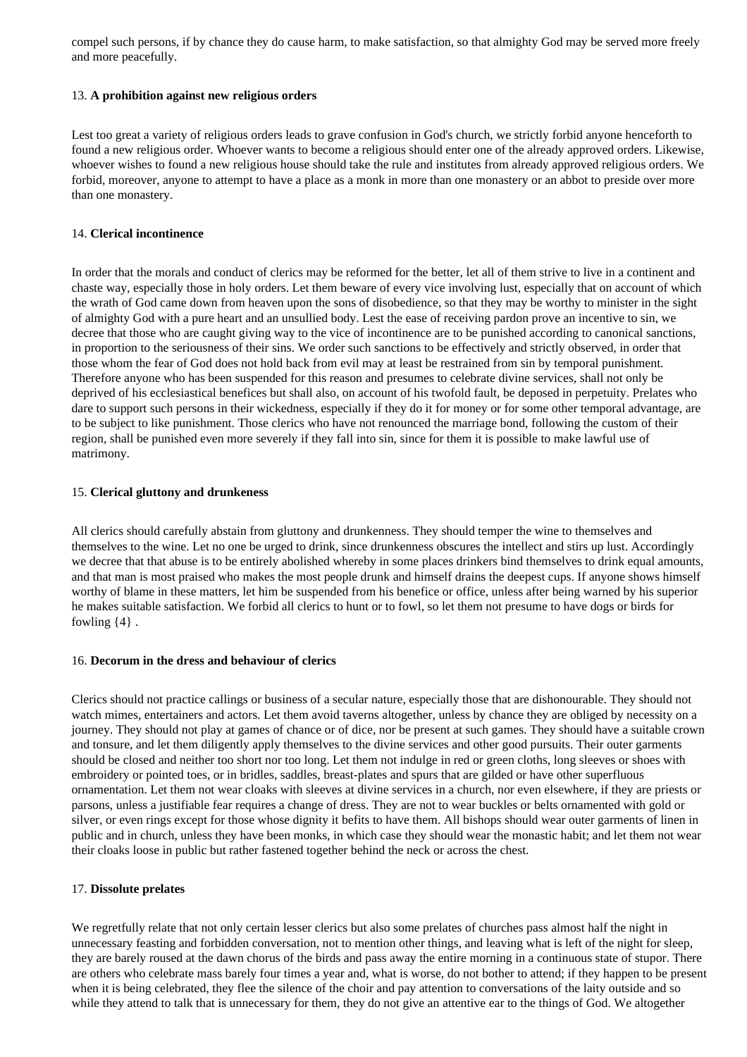compel such persons, if by chance they do cause harm, to make satisfaction, so that almighty God may be served more freely and more peacefully.

# <span id="page-8-0"></span>13. **A prohibition against new religious orders**

Lest too great a variety of religious orders leads to grave confusion in God's church, we strictly forbid anyone henceforth to found a new religious order. Whoever wants to become a religious should enter one of the already approved orders. Likewise, whoever wishes to found a new religious house should take the rule and institutes from already approved religious orders. We forbid, moreover, anyone to attempt to have a place as a monk in more than one monastery or an abbot to preside over more than one monastery.

# <span id="page-8-1"></span>14. **Clerical incontinence**

In order that the morals and conduct of clerics may be reformed for the better, let all of them strive to live in a continent and chaste way, especially those in holy orders. Let them beware of every vice involving lust, especially that on account of which the wrath of God came down from heaven upon the sons of disobedience, so that they may be worthy to minister in the sight of almighty God with a pure heart and an unsullied body. Lest the ease of receiving pardon prove an incentive to sin, we decree that those who are caught giving way to the vice of incontinence are to be punished according to canonical sanctions, in proportion to the seriousness of their sins. We order such sanctions to be effectively and strictly observed, in order that those whom the fear of God does not hold back from evil may at least be restrained from sin by temporal punishment. Therefore anyone who has been suspended for this reason and presumes to celebrate divine services, shall not only be deprived of his ecclesiastical benefices but shall also, on account of his twofold fault, be deposed in perpetuity. Prelates who dare to support such persons in their wickedness, especially if they do it for money or for some other temporal advantage, are to be subject to like punishment. Those clerics who have not renounced the marriage bond, following the custom of their region, shall be punished even more severely if they fall into sin, since for them it is possible to make lawful use of matrimony.

# <span id="page-8-2"></span>15. **Clerical gluttony and drunkeness**

All clerics should carefully abstain from gluttony and drunkenness. They should temper the wine to themselves and themselves to the wine. Let no one be urged to drink, since drunkenness obscures the intellect and stirs up lust. Accordingly we decree that that abuse is to be entirely abolished whereby in some places drinkers bind themselves to drink equal amounts, and that man is most praised who makes the most people drunk and himself drains the deepest cups. If anyone shows himself worthy of blame in these matters, let him be suspended from his benefice or office, unless after being warned by his superior he makes suitable satisfaction. We forbid all clerics to hunt or to fowl, so let them not presume to have dogs or birds for fowling  $\{4\}$ .

# <span id="page-8-3"></span>16. **Decorum in the dress and behaviour of clerics**

Clerics should not practice callings or business of a secular nature, especially those that are dishonourable. They should not watch mimes, entertainers and actors. Let them avoid taverns altogether, unless by chance they are obliged by necessity on a journey. They should not play at games of chance or of dice, nor be present at such games. They should have a suitable crown and tonsure, and let them diligently apply themselves to the divine services and other good pursuits. Their outer garments should be closed and neither too short nor too long. Let them not indulge in red or green cloths, long sleeves or shoes with embroidery or pointed toes, or in bridles, saddles, breast-plates and spurs that are gilded or have other superfluous ornamentation. Let them not wear cloaks with sleeves at divine services in a church, nor even elsewhere, if they are priests or parsons, unless a justifiable fear requires a change of dress. They are not to wear buckles or belts ornamented with gold or silver, or even rings except for those whose dignity it befits to have them. All bishops should wear outer garments of linen in public and in church, unless they have been monks, in which case they should wear the monastic habit; and let them not wear their cloaks loose in public but rather fastened together behind the neck or across the chest.

# <span id="page-8-4"></span>17. **Dissolute prelates**

We regretfully relate that not only certain lesser clerics but also some prelates of churches pass almost half the night in unnecessary feasting and forbidden conversation, not to mention other things, and leaving what is left of the night for sleep, they are barely roused at the dawn chorus of the birds and pass away the entire morning in a continuous state of stupor. There are others who celebrate mass barely four times a year and, what is worse, do not bother to attend; if they happen to be present when it is being celebrated, they flee the silence of the choir and pay attention to conversations of the laity outside and so while they attend to talk that is unnecessary for them, they do not give an attentive ear to the things of God. We altogether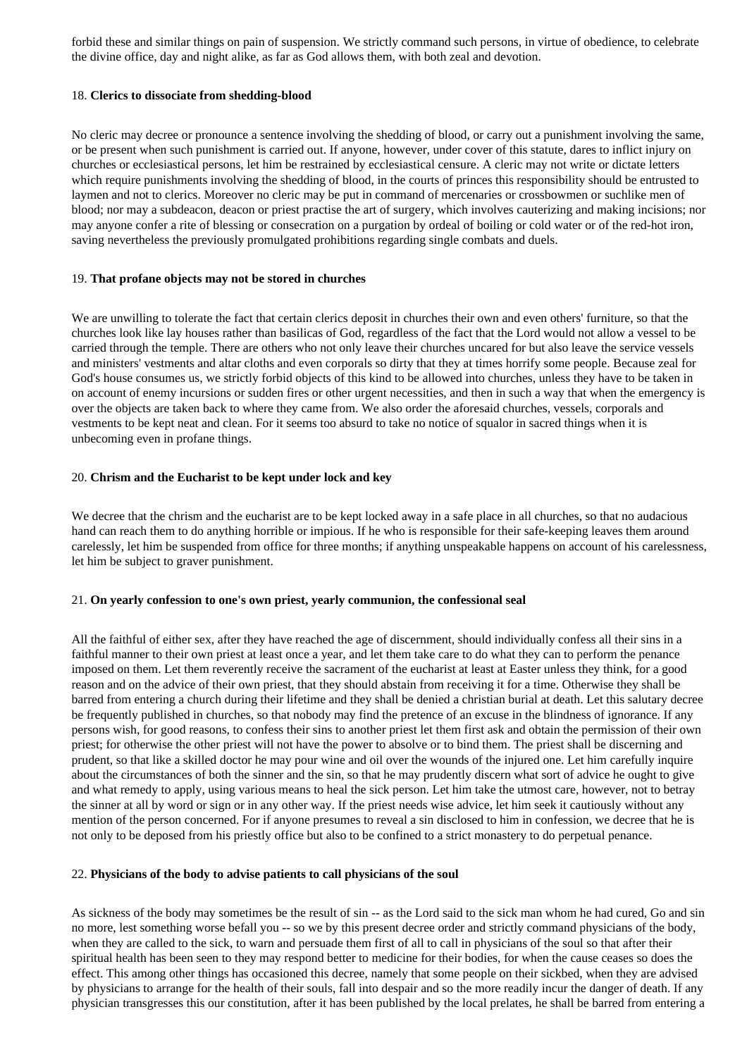forbid these and similar things on pain of suspension. We strictly command such persons, in virtue of obedience, to celebrate the divine office, day and night alike, as far as God allows them, with both zeal and devotion.

# <span id="page-9-0"></span>18. **Clerics to dissociate from shedding-blood**

No cleric may decree or pronounce a sentence involving the shedding of blood, or carry out a punishment involving the same, or be present when such punishment is carried out. If anyone, however, under cover of this statute, dares to inflict injury on churches or ecclesiastical persons, let him be restrained by ecclesiastical censure. A cleric may not write or dictate letters which require punishments involving the shedding of blood, in the courts of princes this responsibility should be entrusted to laymen and not to clerics. Moreover no cleric may be put in command of mercenaries or crossbowmen or suchlike men of blood; nor may a subdeacon, deacon or priest practise the art of surgery, which involves cauterizing and making incisions; nor may anyone confer a rite of blessing or consecration on a purgation by ordeal of boiling or cold water or of the red-hot iron, saving nevertheless the previously promulgated prohibitions regarding single combats and duels.

# <span id="page-9-1"></span>19. **That profane objects may not be stored in churches**

We are unwilling to tolerate the fact that certain clerics deposit in churches their own and even others' furniture, so that the churches look like lay houses rather than basilicas of God, regardless of the fact that the Lord would not allow a vessel to be carried through the temple. There are others who not only leave their churches uncared for but also leave the service vessels and ministers' vestments and altar cloths and even corporals so dirty that they at times horrify some people. Because zeal for God's house consumes us, we strictly forbid objects of this kind to be allowed into churches, unless they have to be taken in on account of enemy incursions or sudden fires or other urgent necessities, and then in such a way that when the emergency is over the objects are taken back to where they came from. We also order the aforesaid churches, vessels, corporals and vestments to be kept neat and clean. For it seems too absurd to take no notice of squalor in sacred things when it is unbecoming even in profane things.

# <span id="page-9-2"></span>20. **Chrism and the Eucharist to be kept under lock and key**

We decree that the chrism and the eucharist are to be kept locked away in a safe place in all churches, so that no audacious hand can reach them to do anything horrible or impious. If he who is responsible for their safe-keeping leaves them around carelessly, let him be suspended from office for three months; if anything unspeakable happens on account of his carelessness, let him be subject to graver punishment.

# <span id="page-9-3"></span>21. **On yearly confession to one's own priest, yearly communion, the confessional seal**

All the faithful of either sex, after they have reached the age of discernment, should individually confess all their sins in a faithful manner to their own priest at least once a year, and let them take care to do what they can to perform the penance imposed on them. Let them reverently receive the sacrament of the eucharist at least at Easter unless they think, for a good reason and on the advice of their own priest, that they should abstain from receiving it for a time. Otherwise they shall be barred from entering a church during their lifetime and they shall be denied a christian burial at death. Let this salutary decree be frequently published in churches, so that nobody may find the pretence of an excuse in the blindness of ignorance. If any persons wish, for good reasons, to confess their sins to another priest let them first ask and obtain the permission of their own priest; for otherwise the other priest will not have the power to absolve or to bind them. The priest shall be discerning and prudent, so that like a skilled doctor he may pour wine and oil over the wounds of the injured one. Let him carefully inquire about the circumstances of both the sinner and the sin, so that he may prudently discern what sort of advice he ought to give and what remedy to apply, using various means to heal the sick person. Let him take the utmost care, however, not to betray the sinner at all by word or sign or in any other way. If the priest needs wise advice, let him seek it cautiously without any mention of the person concerned. For if anyone presumes to reveal a sin disclosed to him in confession, we decree that he is not only to be deposed from his priestly office but also to be confined to a strict monastery to do perpetual penance.

# <span id="page-9-4"></span>22. **Physicians of the body to advise patients to call physicians of the soul**

As sickness of the body may sometimes be the result of sin -- as the Lord said to the sick man whom he had cured, Go and sin no more, lest something worse befall you -- so we by this present decree order and strictly command physicians of the body, when they are called to the sick, to warn and persuade them first of all to call in physicians of the soul so that after their spiritual health has been seen to they may respond better to medicine for their bodies, for when the cause ceases so does the effect. This among other things has occasioned this decree, namely that some people on their sickbed, when they are advised by physicians to arrange for the health of their souls, fall into despair and so the more readily incur the danger of death. If any physician transgresses this our constitution, after it has been published by the local prelates, he shall be barred from entering a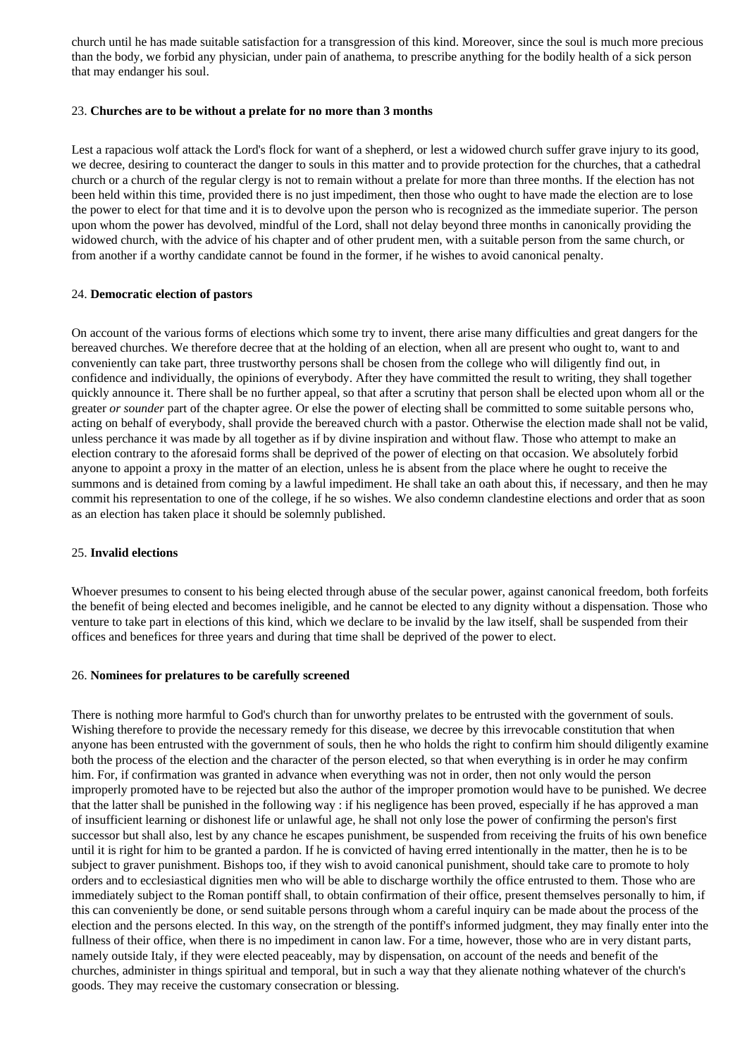church until he has made suitable satisfaction for a transgression of this kind. Moreover, since the soul is much more precious than the body, we forbid any physician, under pain of anathema, to prescribe anything for the bodily health of a sick person that may endanger his soul.

## <span id="page-10-0"></span>23. **Churches are to be without a prelate for no more than 3 months**

Lest a rapacious wolf attack the Lord's flock for want of a shepherd, or lest a widowed church suffer grave injury to its good, we decree, desiring to counteract the danger to souls in this matter and to provide protection for the churches, that a cathedral church or a church of the regular clergy is not to remain without a prelate for more than three months. If the election has not been held within this time, provided there is no just impediment, then those who ought to have made the election are to lose the power to elect for that time and it is to devolve upon the person who is recognized as the immediate superior. The person upon whom the power has devolved, mindful of the Lord, shall not delay beyond three months in canonically providing the widowed church, with the advice of his chapter and of other prudent men, with a suitable person from the same church, or from another if a worthy candidate cannot be found in the former, if he wishes to avoid canonical penalty.

# <span id="page-10-1"></span>24. **Democratic election of pastors**

On account of the various forms of elections which some try to invent, there arise many difficulties and great dangers for the bereaved churches. We therefore decree that at the holding of an election, when all are present who ought to, want to and conveniently can take part, three trustworthy persons shall be chosen from the college who will diligently find out, in confidence and individually, the opinions of everybody. After they have committed the result to writing, they shall together quickly announce it. There shall be no further appeal, so that after a scrutiny that person shall be elected upon whom all or the greater *or sounder* part of the chapter agree. Or else the power of electing shall be committed to some suitable persons who, acting on behalf of everybody, shall provide the bereaved church with a pastor. Otherwise the election made shall not be valid, unless perchance it was made by all together as if by divine inspiration and without flaw. Those who attempt to make an election contrary to the aforesaid forms shall be deprived of the power of electing on that occasion. We absolutely forbid anyone to appoint a proxy in the matter of an election, unless he is absent from the place where he ought to receive the summons and is detained from coming by a lawful impediment. He shall take an oath about this, if necessary, and then he may commit his representation to one of the college, if he so wishes. We also condemn clandestine elections and order that as soon as an election has taken place it should be solemnly published.

## <span id="page-10-2"></span>25. **Invalid elections**

Whoever presumes to consent to his being elected through abuse of the secular power, against canonical freedom, both forfeits the benefit of being elected and becomes ineligible, and he cannot be elected to any dignity without a dispensation. Those who venture to take part in elections of this kind, which we declare to be invalid by the law itself, shall be suspended from their offices and benefices for three years and during that time shall be deprived of the power to elect.

## <span id="page-10-3"></span>26. **Nominees for prelatures to be carefully screened**

There is nothing more harmful to God's church than for unworthy prelates to be entrusted with the government of souls. Wishing therefore to provide the necessary remedy for this disease, we decree by this irrevocable constitution that when anyone has been entrusted with the government of souls, then he who holds the right to confirm him should diligently examine both the process of the election and the character of the person elected, so that when everything is in order he may confirm him. For, if confirmation was granted in advance when everything was not in order, then not only would the person improperly promoted have to be rejected but also the author of the improper promotion would have to be punished. We decree that the latter shall be punished in the following way : if his negligence has been proved, especially if he has approved a man of insufficient learning or dishonest life or unlawful age, he shall not only lose the power of confirming the person's first successor but shall also, lest by any chance he escapes punishment, be suspended from receiving the fruits of his own benefice until it is right for him to be granted a pardon. If he is convicted of having erred intentionally in the matter, then he is to be subject to graver punishment. Bishops too, if they wish to avoid canonical punishment, should take care to promote to holy orders and to ecclesiastical dignities men who will be able to discharge worthily the office entrusted to them. Those who are immediately subject to the Roman pontiff shall, to obtain confirmation of their office, present themselves personally to him, if this can conveniently be done, or send suitable persons through whom a careful inquiry can be made about the process of the election and the persons elected. In this way, on the strength of the pontiff's informed judgment, they may finally enter into the fullness of their office, when there is no impediment in canon law. For a time, however, those who are in very distant parts, namely outside Italy, if they were elected peaceably, may by dispensation, on account of the needs and benefit of the churches, administer in things spiritual and temporal, but in such a way that they alienate nothing whatever of the church's goods. They may receive the customary consecration or blessing.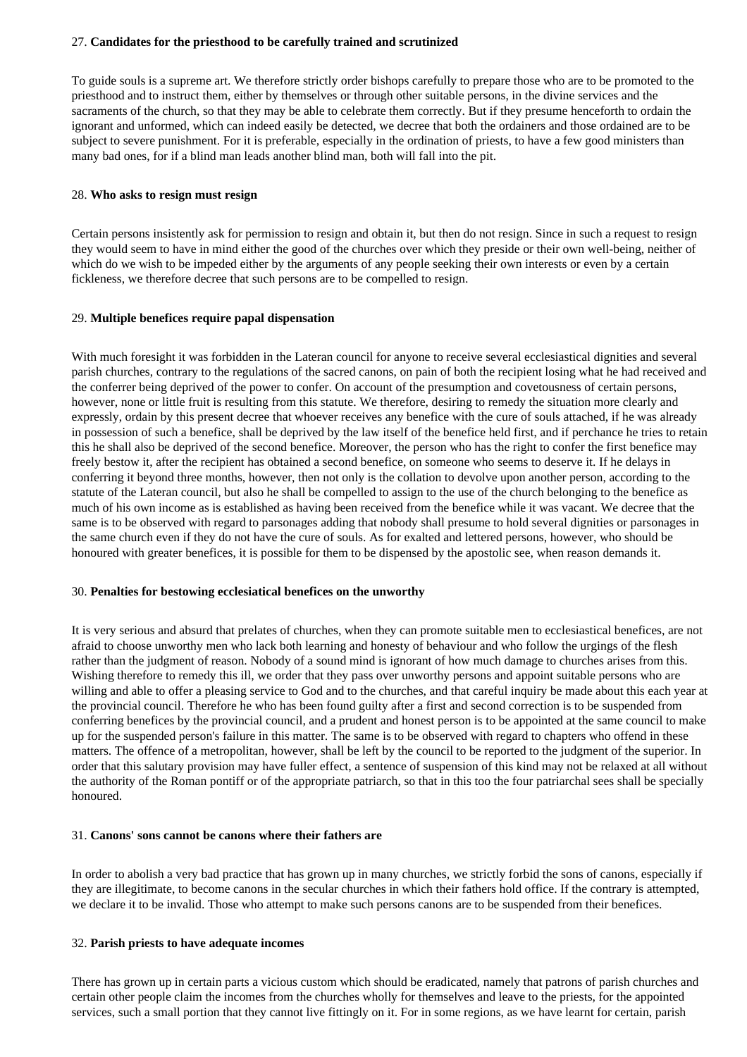# <span id="page-11-0"></span>27. **Candidates for the priesthood to be carefully trained and scrutinized**

To guide souls is a supreme art. We therefore strictly order bishops carefully to prepare those who are to be promoted to the priesthood and to instruct them, either by themselves or through other suitable persons, in the divine services and the sacraments of the church, so that they may be able to celebrate them correctly. But if they presume henceforth to ordain the ignorant and unformed, which can indeed easily be detected, we decree that both the ordainers and those ordained are to be subject to severe punishment. For it is preferable, especially in the ordination of priests, to have a few good ministers than many bad ones, for if a blind man leads another blind man, both will fall into the pit.

## <span id="page-11-1"></span>28. **Who asks to resign must resign**

Certain persons insistently ask for permission to resign and obtain it, but then do not resign. Since in such a request to resign they would seem to have in mind either the good of the churches over which they preside or their own well-being, neither of which do we wish to be impeded either by the arguments of any people seeking their own interests or even by a certain fickleness, we therefore decree that such persons are to be compelled to resign.

# <span id="page-11-2"></span>29. **Multiple benefices require papal dispensation**

With much foresight it was forbidden in the Lateran council for anyone to receive several ecclesiastical dignities and several parish churches, contrary to the regulations of the sacred canons, on pain of both the recipient losing what he had received and the conferrer being deprived of the power to confer. On account of the presumption and covetousness of certain persons, however, none or little fruit is resulting from this statute. We therefore, desiring to remedy the situation more clearly and expressly, ordain by this present decree that whoever receives any benefice with the cure of souls attached, if he was already in possession of such a benefice, shall be deprived by the law itself of the benefice held first, and if perchance he tries to retain this he shall also be deprived of the second benefice. Moreover, the person who has the right to confer the first benefice may freely bestow it, after the recipient has obtained a second benefice, on someone who seems to deserve it. If he delays in conferring it beyond three months, however, then not only is the collation to devolve upon another person, according to the statute of the Lateran council, but also he shall be compelled to assign to the use of the church belonging to the benefice as much of his own income as is established as having been received from the benefice while it was vacant. We decree that the same is to be observed with regard to parsonages adding that nobody shall presume to hold several dignities or parsonages in the same church even if they do not have the cure of souls. As for exalted and lettered persons, however, who should be honoured with greater benefices, it is possible for them to be dispensed by the apostolic see, when reason demands it.

# <span id="page-11-3"></span>30. **Penalties for bestowing ecclesiatical benefices on the unworthy**

It is very serious and absurd that prelates of churches, when they can promote suitable men to ecclesiastical benefices, are not afraid to choose unworthy men who lack both learning and honesty of behaviour and who follow the urgings of the flesh rather than the judgment of reason. Nobody of a sound mind is ignorant of how much damage to churches arises from this. Wishing therefore to remedy this ill, we order that they pass over unworthy persons and appoint suitable persons who are willing and able to offer a pleasing service to God and to the churches, and that careful inquiry be made about this each year at the provincial council. Therefore he who has been found guilty after a first and second correction is to be suspended from conferring benefices by the provincial council, and a prudent and honest person is to be appointed at the same council to make up for the suspended person's failure in this matter. The same is to be observed with regard to chapters who offend in these matters. The offence of a metropolitan, however, shall be left by the council to be reported to the judgment of the superior. In order that this salutary provision may have fuller effect, a sentence of suspension of this kind may not be relaxed at all without the authority of the Roman pontiff or of the appropriate patriarch, so that in this too the four patriarchal sees shall be specially honoured.

## <span id="page-11-4"></span>31. **Canons' sons cannot be canons where their fathers are**

In order to abolish a very bad practice that has grown up in many churches, we strictly forbid the sons of canons, especially if they are illegitimate, to become canons in the secular churches in which their fathers hold office. If the contrary is attempted, we declare it to be invalid. Those who attempt to make such persons canons are to be suspended from their benefices.

# <span id="page-11-5"></span>32. **Parish priests to have adequate incomes**

There has grown up in certain parts a vicious custom which should be eradicated, namely that patrons of parish churches and certain other people claim the incomes from the churches wholly for themselves and leave to the priests, for the appointed services, such a small portion that they cannot live fittingly on it. For in some regions, as we have learnt for certain, parish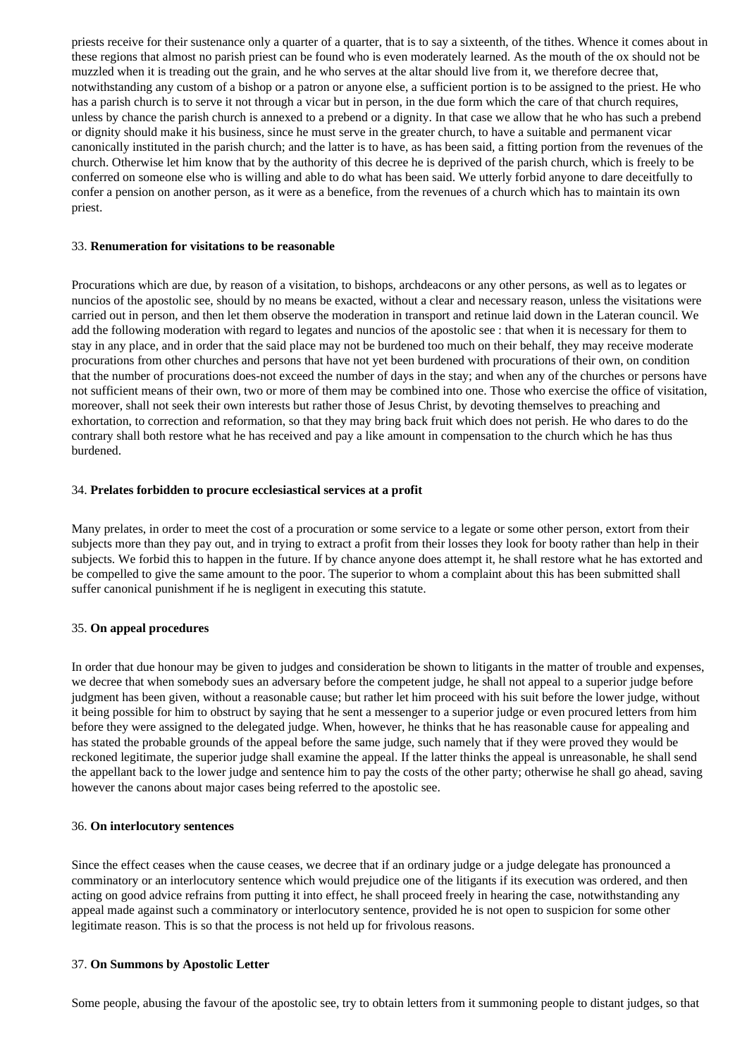priests receive for their sustenance only a quarter of a quarter, that is to say a sixteenth, of the tithes. Whence it comes about in these regions that almost no parish priest can be found who is even moderately learned. As the mouth of the ox should not be muzzled when it is treading out the grain, and he who serves at the altar should live from it, we therefore decree that, notwithstanding any custom of a bishop or a patron or anyone else, a sufficient portion is to be assigned to the priest. He who has a parish church is to serve it not through a vicar but in person, in the due form which the care of that church requires, unless by chance the parish church is annexed to a prebend or a dignity. In that case we allow that he who has such a prebend or dignity should make it his business, since he must serve in the greater church, to have a suitable and permanent vicar canonically instituted in the parish church; and the latter is to have, as has been said, a fitting portion from the revenues of the church. Otherwise let him know that by the authority of this decree he is deprived of the parish church, which is freely to be conferred on someone else who is willing and able to do what has been said. We utterly forbid anyone to dare deceitfully to confer a pension on another person, as it were as a benefice, from the revenues of a church which has to maintain its own priest.

## <span id="page-12-0"></span>33. **Renumeration for visitations to be reasonable**

Procurations which are due, by reason of a visitation, to bishops, archdeacons or any other persons, as well as to legates or nuncios of the apostolic see, should by no means be exacted, without a clear and necessary reason, unless the visitations were carried out in person, and then let them observe the moderation in transport and retinue laid down in the Lateran council. We add the following moderation with regard to legates and nuncios of the apostolic see : that when it is necessary for them to stay in any place, and in order that the said place may not be burdened too much on their behalf, they may receive moderate procurations from other churches and persons that have not yet been burdened with procurations of their own, on condition that the number of procurations does-not exceed the number of days in the stay; and when any of the churches or persons have not sufficient means of their own, two or more of them may be combined into one. Those who exercise the office of visitation, moreover, shall not seek their own interests but rather those of Jesus Christ, by devoting themselves to preaching and exhortation, to correction and reformation, so that they may bring back fruit which does not perish. He who dares to do the contrary shall both restore what he has received and pay a like amount in compensation to the church which he has thus burdened.

## <span id="page-12-1"></span>34. **Prelates forbidden to procure ecclesiastical services at a profit**

Many prelates, in order to meet the cost of a procuration or some service to a legate or some other person, extort from their subjects more than they pay out, and in trying to extract a profit from their losses they look for booty rather than help in their subjects. We forbid this to happen in the future. If by chance anyone does attempt it, he shall restore what he has extorted and be compelled to give the same amount to the poor. The superior to whom a complaint about this has been submitted shall suffer canonical punishment if he is negligent in executing this statute.

# <span id="page-12-2"></span>35. **On appeal procedures**

In order that due honour may be given to judges and consideration be shown to litigants in the matter of trouble and expenses, we decree that when somebody sues an adversary before the competent judge, he shall not appeal to a superior judge before judgment has been given, without a reasonable cause; but rather let him proceed with his suit before the lower judge, without it being possible for him to obstruct by saying that he sent a messenger to a superior judge or even procured letters from him before they were assigned to the delegated judge. When, however, he thinks that he has reasonable cause for appealing and has stated the probable grounds of the appeal before the same judge, such namely that if they were proved they would be reckoned legitimate, the superior judge shall examine the appeal. If the latter thinks the appeal is unreasonable, he shall send the appellant back to the lower judge and sentence him to pay the costs of the other party; otherwise he shall go ahead, saving however the canons about major cases being referred to the apostolic see.

## <span id="page-12-3"></span>36. **On interlocutory sentences**

Since the effect ceases when the cause ceases, we decree that if an ordinary judge or a judge delegate has pronounced a comminatory or an interlocutory sentence which would prejudice one of the litigants if its execution was ordered, and then acting on good advice refrains from putting it into effect, he shall proceed freely in hearing the case, notwithstanding any appeal made against such a comminatory or interlocutory sentence, provided he is not open to suspicion for some other legitimate reason. This is so that the process is not held up for frivolous reasons.

## <span id="page-12-4"></span>37. **On Summons by Apostolic Letter**

Some people, abusing the favour of the apostolic see, try to obtain letters from it summoning people to distant judges, so that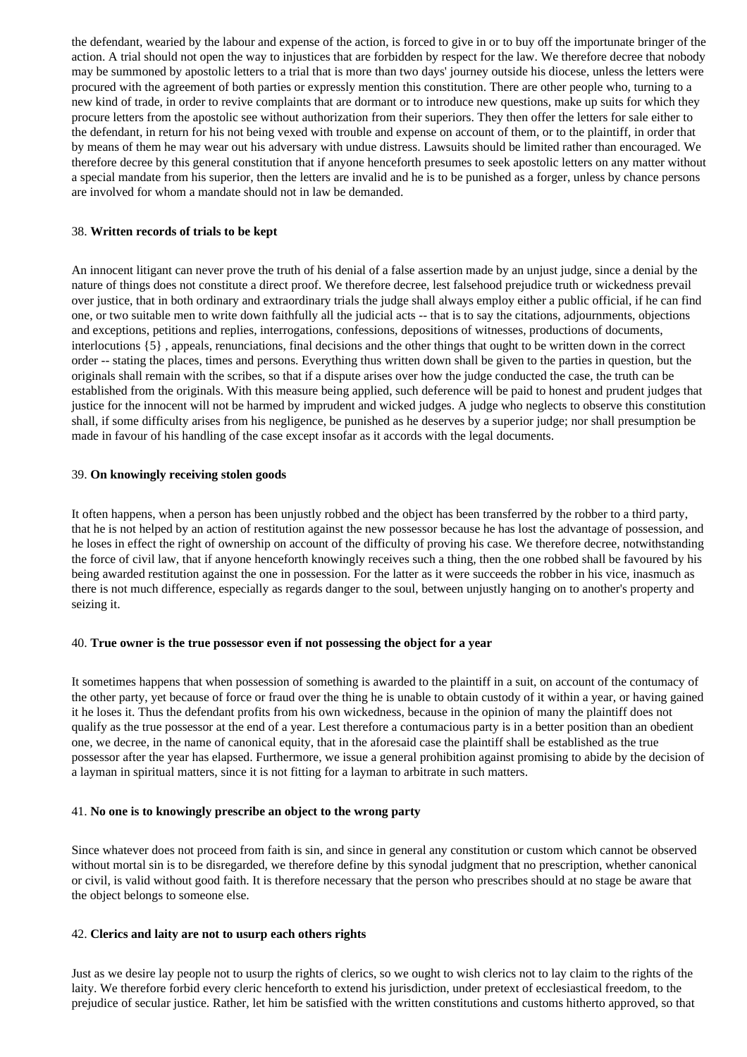the defendant, wearied by the labour and expense of the action, is forced to give in or to buy off the importunate bringer of the action. A trial should not open the way to injustices that are forbidden by respect for the law. We therefore decree that nobody may be summoned by apostolic letters to a trial that is more than two days' journey outside his diocese, unless the letters were procured with the agreement of both parties or expressly mention this constitution. There are other people who, turning to a new kind of trade, in order to revive complaints that are dormant or to introduce new questions, make up suits for which they procure letters from the apostolic see without authorization from their superiors. They then offer the letters for sale either to the defendant, in return for his not being vexed with trouble and expense on account of them, or to the plaintiff, in order that by means of them he may wear out his adversary with undue distress. Lawsuits should be limited rather than encouraged. We therefore decree by this general constitution that if anyone henceforth presumes to seek apostolic letters on any matter without a special mandate from his superior, then the letters are invalid and he is to be punished as a forger, unless by chance persons are involved for whom a mandate should not in law be demanded.

## <span id="page-13-0"></span>38. **Written records of trials to be kept**

An innocent litigant can never prove the truth of his denial of a false assertion made by an unjust judge, since a denial by the nature of things does not constitute a direct proof. We therefore decree, lest falsehood prejudice truth or wickedness prevail over justice, that in both ordinary and extraordinary trials the judge shall always employ either a public official, if he can find one, or two suitable men to write down faithfully all the judicial acts -- that is to say the citations, adjournments, objections and exceptions, petitions and replies, interrogations, confessions, depositions of witnesses, productions of documents, interlocutions {5} , appeals, renunciations, final decisions and the other things that ought to be written down in the correct order -- stating the places, times and persons. Everything thus written down shall be given to the parties in question, but the originals shall remain with the scribes, so that if a dispute arises over how the judge conducted the case, the truth can be established from the originals. With this measure being applied, such deference will be paid to honest and prudent judges that justice for the innocent will not be harmed by imprudent and wicked judges. A judge who neglects to observe this constitution shall, if some difficulty arises from his negligence, be punished as he deserves by a superior judge; nor shall presumption be made in favour of his handling of the case except insofar as it accords with the legal documents.

#### <span id="page-13-1"></span>39. **On knowingly receiving stolen goods**

It often happens, when a person has been unjustly robbed and the object has been transferred by the robber to a third party, that he is not helped by an action of restitution against the new possessor because he has lost the advantage of possession, and he loses in effect the right of ownership on account of the difficulty of proving his case. We therefore decree, notwithstanding the force of civil law, that if anyone henceforth knowingly receives such a thing, then the one robbed shall be favoured by his being awarded restitution against the one in possession. For the latter as it were succeeds the robber in his vice, inasmuch as there is not much difference, especially as regards danger to the soul, between unjustly hanging on to another's property and seizing it.

## <span id="page-13-2"></span>40. **True owner is the true possessor even if not possessing the object for a year**

It sometimes happens that when possession of something is awarded to the plaintiff in a suit, on account of the contumacy of the other party, yet because of force or fraud over the thing he is unable to obtain custody of it within a year, or having gained it he loses it. Thus the defendant profits from his own wickedness, because in the opinion of many the plaintiff does not qualify as the true possessor at the end of a year. Lest therefore a contumacious party is in a better position than an obedient one, we decree, in the name of canonical equity, that in the aforesaid case the plaintiff shall be established as the true possessor after the year has elapsed. Furthermore, we issue a general prohibition against promising to abide by the decision of a layman in spiritual matters, since it is not fitting for a layman to arbitrate in such matters.

## <span id="page-13-3"></span>41. **No one is to knowingly prescribe an object to the wrong party**

Since whatever does not proceed from faith is sin, and since in general any constitution or custom which cannot be observed without mortal sin is to be disregarded, we therefore define by this synodal judgment that no prescription, whether canonical or civil, is valid without good faith. It is therefore necessary that the person who prescribes should at no stage be aware that the object belongs to someone else.

## <span id="page-13-4"></span>42. **Clerics and laity are not to usurp each others rights**

Just as we desire lay people not to usurp the rights of clerics, so we ought to wish clerics not to lay claim to the rights of the laity. We therefore forbid every cleric henceforth to extend his jurisdiction, under pretext of ecclesiastical freedom, to the prejudice of secular justice. Rather, let him be satisfied with the written constitutions and customs hitherto approved, so that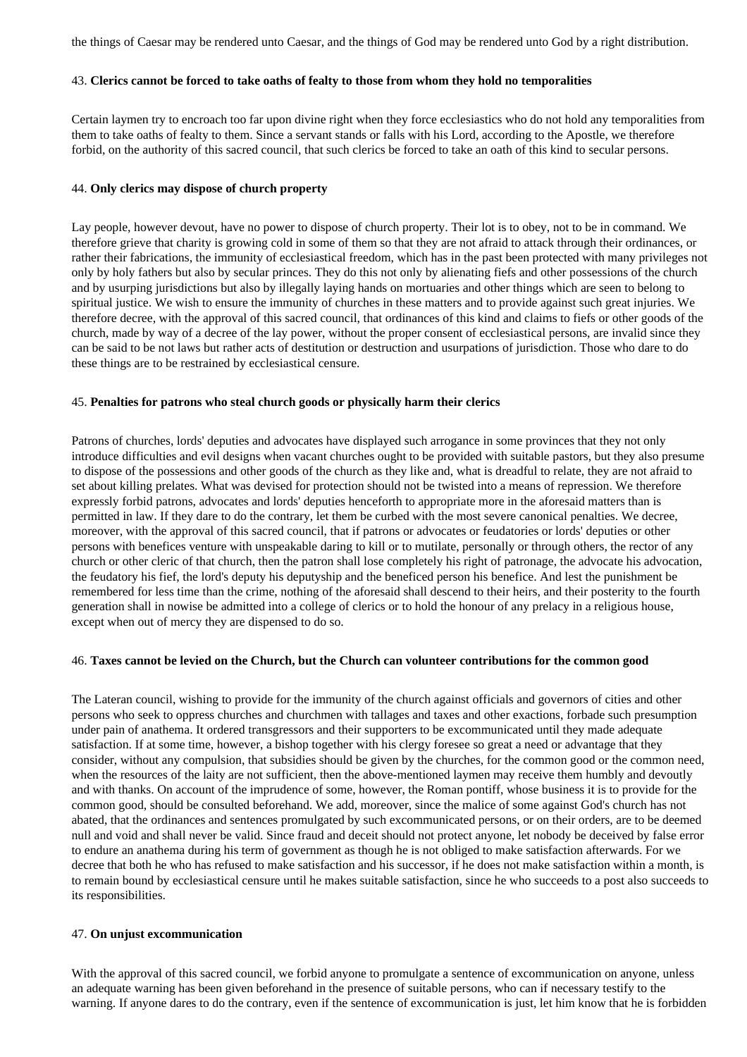the things of Caesar may be rendered unto Caesar, and the things of God may be rendered unto God by a right distribution.

# <span id="page-14-0"></span>43. **Clerics cannot be forced to take oaths of fealty to those from whom they hold no temporalities**

Certain laymen try to encroach too far upon divine right when they force ecclesiastics who do not hold any temporalities from them to take oaths of fealty to them. Since a servant stands or falls with his Lord, according to the Apostle, we therefore forbid, on the authority of this sacred council, that such clerics be forced to take an oath of this kind to secular persons.

## <span id="page-14-1"></span>44. **Only clerics may dispose of church property**

Lay people, however devout, have no power to dispose of church property. Their lot is to obey, not to be in command. We therefore grieve that charity is growing cold in some of them so that they are not afraid to attack through their ordinances, or rather their fabrications, the immunity of ecclesiastical freedom, which has in the past been protected with many privileges not only by holy fathers but also by secular princes. They do this not only by alienating fiefs and other possessions of the church and by usurping jurisdictions but also by illegally laying hands on mortuaries and other things which are seen to belong to spiritual justice. We wish to ensure the immunity of churches in these matters and to provide against such great injuries. We therefore decree, with the approval of this sacred council, that ordinances of this kind and claims to fiefs or other goods of the church, made by way of a decree of the lay power, without the proper consent of ecclesiastical persons, are invalid since they can be said to be not laws but rather acts of destitution or destruction and usurpations of jurisdiction. Those who dare to do these things are to be restrained by ecclesiastical censure.

# <span id="page-14-2"></span>45. **Penalties for patrons who steal church goods or physically harm their clerics**

Patrons of churches, lords' deputies and advocates have displayed such arrogance in some provinces that they not only introduce difficulties and evil designs when vacant churches ought to be provided with suitable pastors, but they also presume to dispose of the possessions and other goods of the church as they like and, what is dreadful to relate, they are not afraid to set about killing prelates. What was devised for protection should not be twisted into a means of repression. We therefore expressly forbid patrons, advocates and lords' deputies henceforth to appropriate more in the aforesaid matters than is permitted in law. If they dare to do the contrary, let them be curbed with the most severe canonical penalties. We decree, moreover, with the approval of this sacred council, that if patrons or advocates or feudatories or lords' deputies or other persons with benefices venture with unspeakable daring to kill or to mutilate, personally or through others, the rector of any church or other cleric of that church, then the patron shall lose completely his right of patronage, the advocate his advocation, the feudatory his fief, the lord's deputy his deputyship and the beneficed person his benefice. And lest the punishment be remembered for less time than the crime, nothing of the aforesaid shall descend to their heirs, and their posterity to the fourth generation shall in nowise be admitted into a college of clerics or to hold the honour of any prelacy in a religious house, except when out of mercy they are dispensed to do so.

## <span id="page-14-3"></span>46. **Taxes cannot be levied on the Church, but the Church can volunteer contributions for the common good**

The Lateran council, wishing to provide for the immunity of the church against officials and governors of cities and other persons who seek to oppress churches and churchmen with tallages and taxes and other exactions, forbade such presumption under pain of anathema. It ordered transgressors and their supporters to be excommunicated until they made adequate satisfaction. If at some time, however, a bishop together with his clergy foresee so great a need or advantage that they consider, without any compulsion, that subsidies should be given by the churches, for the common good or the common need, when the resources of the laity are not sufficient, then the above-mentioned laymen may receive them humbly and devoutly and with thanks. On account of the imprudence of some, however, the Roman pontiff, whose business it is to provide for the common good, should be consulted beforehand. We add, moreover, since the malice of some against God's church has not abated, that the ordinances and sentences promulgated by such excommunicated persons, or on their orders, are to be deemed null and void and shall never be valid. Since fraud and deceit should not protect anyone, let nobody be deceived by false error to endure an anathema during his term of government as though he is not obliged to make satisfaction afterwards. For we decree that both he who has refused to make satisfaction and his successor, if he does not make satisfaction within a month, is to remain bound by ecclesiastical censure until he makes suitable satisfaction, since he who succeeds to a post also succeeds to its responsibilities.

## <span id="page-14-4"></span>47. **On unjust excommunication**

With the approval of this sacred council, we forbid anyone to promulgate a sentence of excommunication on anyone, unless an adequate warning has been given beforehand in the presence of suitable persons, who can if necessary testify to the warning. If anyone dares to do the contrary, even if the sentence of excommunication is just, let him know that he is forbidden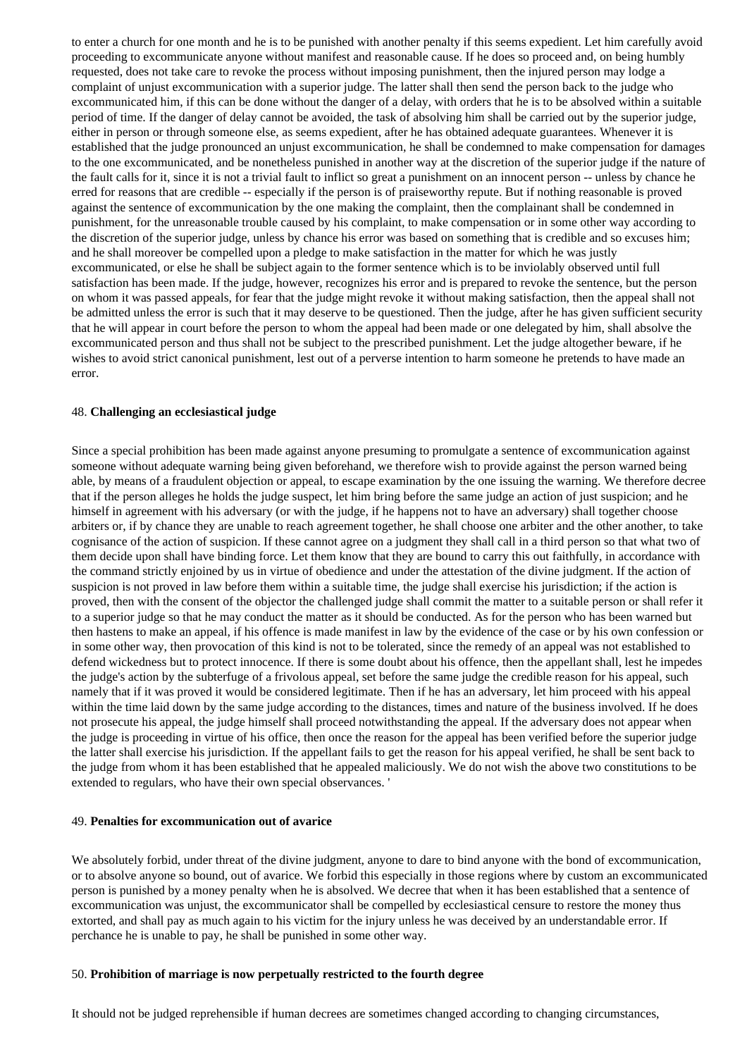to enter a church for one month and he is to be punished with another penalty if this seems expedient. Let him carefully avoid proceeding to excommunicate anyone without manifest and reasonable cause. If he does so proceed and, on being humbly requested, does not take care to revoke the process without imposing punishment, then the injured person may lodge a complaint of unjust excommunication with a superior judge. The latter shall then send the person back to the judge who excommunicated him, if this can be done without the danger of a delay, with orders that he is to be absolved within a suitable period of time. If the danger of delay cannot be avoided, the task of absolving him shall be carried out by the superior judge, either in person or through someone else, as seems expedient, after he has obtained adequate guarantees. Whenever it is established that the judge pronounced an unjust excommunication, he shall be condemned to make compensation for damages to the one excommunicated, and be nonetheless punished in another way at the discretion of the superior judge if the nature of the fault calls for it, since it is not a trivial fault to inflict so great a punishment on an innocent person -- unless by chance he erred for reasons that are credible -- especially if the person is of praiseworthy repute. But if nothing reasonable is proved against the sentence of excommunication by the one making the complaint, then the complainant shall be condemned in punishment, for the unreasonable trouble caused by his complaint, to make compensation or in some other way according to the discretion of the superior judge, unless by chance his error was based on something that is credible and so excuses him; and he shall moreover be compelled upon a pledge to make satisfaction in the matter for which he was justly excommunicated, or else he shall be subject again to the former sentence which is to be inviolably observed until full satisfaction has been made. If the judge, however, recognizes his error and is prepared to revoke the sentence, but the person on whom it was passed appeals, for fear that the judge might revoke it without making satisfaction, then the appeal shall not be admitted unless the error is such that it may deserve to be questioned. Then the judge, after he has given sufficient security that he will appear in court before the person to whom the appeal had been made or one delegated by him, shall absolve the excommunicated person and thus shall not be subject to the prescribed punishment. Let the judge altogether beware, if he wishes to avoid strict canonical punishment, lest out of a perverse intention to harm someone he pretends to have made an error.

## <span id="page-15-0"></span>48. **Challenging an ecclesiastical judge**

Since a special prohibition has been made against anyone presuming to promulgate a sentence of excommunication against someone without adequate warning being given beforehand, we therefore wish to provide against the person warned being able, by means of a fraudulent objection or appeal, to escape examination by the one issuing the warning. We therefore decree that if the person alleges he holds the judge suspect, let him bring before the same judge an action of just suspicion; and he himself in agreement with his adversary (or with the judge, if he happens not to have an adversary) shall together choose arbiters or, if by chance they are unable to reach agreement together, he shall choose one arbiter and the other another, to take cognisance of the action of suspicion. If these cannot agree on a judgment they shall call in a third person so that what two of them decide upon shall have binding force. Let them know that they are bound to carry this out faithfully, in accordance with the command strictly enjoined by us in virtue of obedience and under the attestation of the divine judgment. If the action of suspicion is not proved in law before them within a suitable time, the judge shall exercise his jurisdiction; if the action is proved, then with the consent of the objector the challenged judge shall commit the matter to a suitable person or shall refer it to a superior judge so that he may conduct the matter as it should be conducted. As for the person who has been warned but then hastens to make an appeal, if his offence is made manifest in law by the evidence of the case or by his own confession or in some other way, then provocation of this kind is not to be tolerated, since the remedy of an appeal was not established to defend wickedness but to protect innocence. If there is some doubt about his offence, then the appellant shall, lest he impedes the judge's action by the subterfuge of a frivolous appeal, set before the same judge the credible reason for his appeal, such namely that if it was proved it would be considered legitimate. Then if he has an adversary, let him proceed with his appeal within the time laid down by the same judge according to the distances, times and nature of the business involved. If he does not prosecute his appeal, the judge himself shall proceed notwithstanding the appeal. If the adversary does not appear when the judge is proceeding in virtue of his office, then once the reason for the appeal has been verified before the superior judge the latter shall exercise his jurisdiction. If the appellant fails to get the reason for his appeal verified, he shall be sent back to the judge from whom it has been established that he appealed maliciously. We do not wish the above two constitutions to be extended to regulars, who have their own special observances. '

## <span id="page-15-1"></span>49. **Penalties for excommunication out of avarice**

We absolutely forbid, under threat of the divine judgment, anyone to dare to bind anyone with the bond of excommunication, or to absolve anyone so bound, out of avarice. We forbid this especially in those regions where by custom an excommunicated person is punished by a money penalty when he is absolved. We decree that when it has been established that a sentence of excommunication was unjust, the excommunicator shall be compelled by ecclesiastical censure to restore the money thus extorted, and shall pay as much again to his victim for the injury unless he was deceived by an understandable error. If perchance he is unable to pay, he shall be punished in some other way.

#### <span id="page-15-2"></span>50. **Prohibition of marriage is now perpetually restricted to the fourth degree**

It should not be judged reprehensible if human decrees are sometimes changed according to changing circumstances,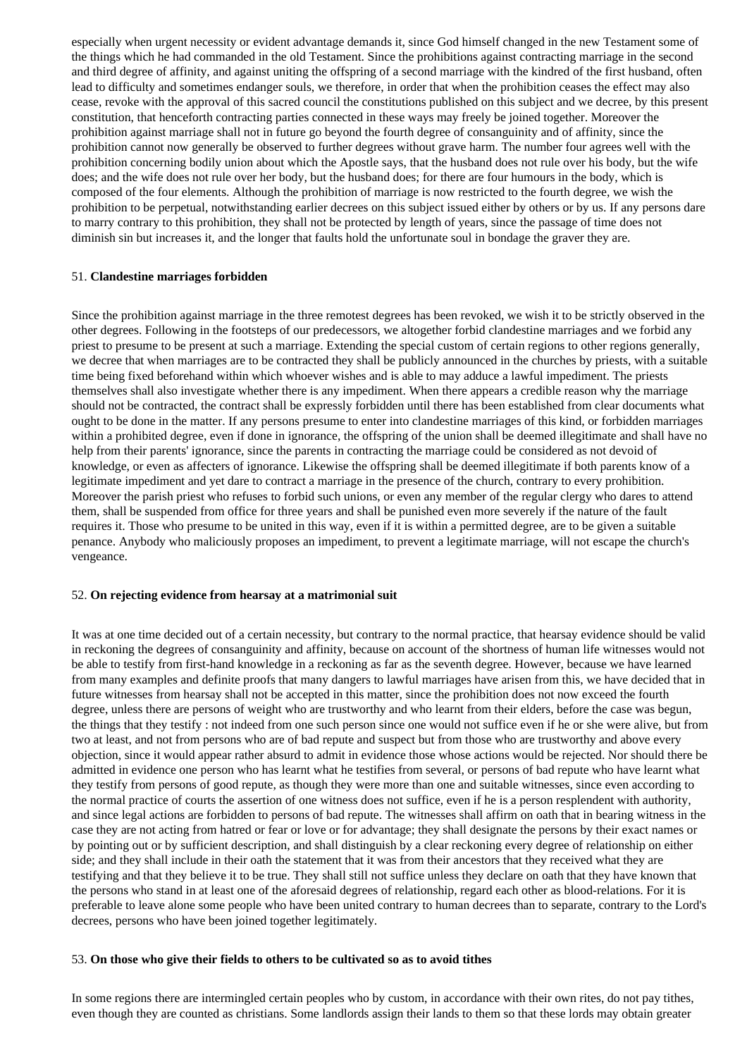especially when urgent necessity or evident advantage demands it, since God himself changed in the new Testament some of the things which he had commanded in the old Testament. Since the prohibitions against contracting marriage in the second and third degree of affinity, and against uniting the offspring of a second marriage with the kindred of the first husband, often lead to difficulty and sometimes endanger souls, we therefore, in order that when the prohibition ceases the effect may also cease, revoke with the approval of this sacred council the constitutions published on this subject and we decree, by this present constitution, that henceforth contracting parties connected in these ways may freely be joined together. Moreover the prohibition against marriage shall not in future go beyond the fourth degree of consanguinity and of affinity, since the prohibition cannot now generally be observed to further degrees without grave harm. The number four agrees well with the prohibition concerning bodily union about which the Apostle says, that the husband does not rule over his body, but the wife does; and the wife does not rule over her body, but the husband does; for there are four humours in the body, which is composed of the four elements. Although the prohibition of marriage is now restricted to the fourth degree, we wish the prohibition to be perpetual, notwithstanding earlier decrees on this subject issued either by others or by us. If any persons dare to marry contrary to this prohibition, they shall not be protected by length of years, since the passage of time does not diminish sin but increases it, and the longer that faults hold the unfortunate soul in bondage the graver they are.

## <span id="page-16-0"></span>51. **Clandestine marriages forbidden**

Since the prohibition against marriage in the three remotest degrees has been revoked, we wish it to be strictly observed in the other degrees. Following in the footsteps of our predecessors, we altogether forbid clandestine marriages and we forbid any priest to presume to be present at such a marriage. Extending the special custom of certain regions to other regions generally, we decree that when marriages are to be contracted they shall be publicly announced in the churches by priests, with a suitable time being fixed beforehand within which whoever wishes and is able to may adduce a lawful impediment. The priests themselves shall also investigate whether there is any impediment. When there appears a credible reason why the marriage should not be contracted, the contract shall be expressly forbidden until there has been established from clear documents what ought to be done in the matter. If any persons presume to enter into clandestine marriages of this kind, or forbidden marriages within a prohibited degree, even if done in ignorance, the offspring of the union shall be deemed illegitimate and shall have no help from their parents' ignorance, since the parents in contracting the marriage could be considered as not devoid of knowledge, or even as affecters of ignorance. Likewise the offspring shall be deemed illegitimate if both parents know of a legitimate impediment and yet dare to contract a marriage in the presence of the church, contrary to every prohibition. Moreover the parish priest who refuses to forbid such unions, or even any member of the regular clergy who dares to attend them, shall be suspended from office for three years and shall be punished even more severely if the nature of the fault requires it. Those who presume to be united in this way, even if it is within a permitted degree, are to be given a suitable penance. Anybody who maliciously proposes an impediment, to prevent a legitimate marriage, will not escape the church's vengeance.

## <span id="page-16-1"></span>52. **On rejecting evidence from hearsay at a matrimonial suit**

It was at one time decided out of a certain necessity, but contrary to the normal practice, that hearsay evidence should be valid in reckoning the degrees of consanguinity and affinity, because on account of the shortness of human life witnesses would not be able to testify from first-hand knowledge in a reckoning as far as the seventh degree. However, because we have learned from many examples and definite proofs that many dangers to lawful marriages have arisen from this, we have decided that in future witnesses from hearsay shall not be accepted in this matter, since the prohibition does not now exceed the fourth degree, unless there are persons of weight who are trustworthy and who learnt from their elders, before the case was begun, the things that they testify : not indeed from one such person since one would not suffice even if he or she were alive, but from two at least, and not from persons who are of bad repute and suspect but from those who are trustworthy and above every objection, since it would appear rather absurd to admit in evidence those whose actions would be rejected. Nor should there be admitted in evidence one person who has learnt what he testifies from several, or persons of bad repute who have learnt what they testify from persons of good repute, as though they were more than one and suitable witnesses, since even according to the normal practice of courts the assertion of one witness does not suffice, even if he is a person resplendent with authority, and since legal actions are forbidden to persons of bad repute. The witnesses shall affirm on oath that in bearing witness in the case they are not acting from hatred or fear or love or for advantage; they shall designate the persons by their exact names or by pointing out or by sufficient description, and shall distinguish by a clear reckoning every degree of relationship on either side; and they shall include in their oath the statement that it was from their ancestors that they received what they are testifying and that they believe it to be true. They shall still not suffice unless they declare on oath that they have known that the persons who stand in at least one of the aforesaid degrees of relationship, regard each other as blood-relations. For it is preferable to leave alone some people who have been united contrary to human decrees than to separate, contrary to the Lord's decrees, persons who have been joined together legitimately.

## <span id="page-16-2"></span>53. **On those who give their fields to others to be cultivated so as to avoid tithes**

In some regions there are intermingled certain peoples who by custom, in accordance with their own rites, do not pay tithes, even though they are counted as christians. Some landlords assign their lands to them so that these lords may obtain greater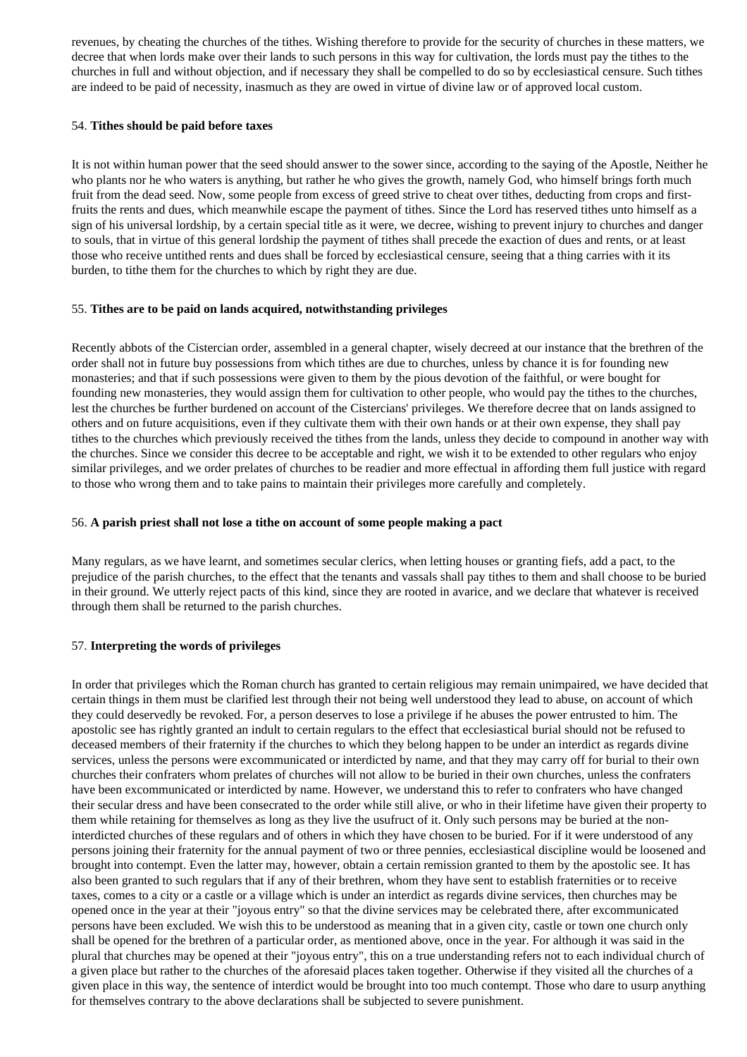revenues, by cheating the churches of the tithes. Wishing therefore to provide for the security of churches in these matters, we decree that when lords make over their lands to such persons in this way for cultivation, the lords must pay the tithes to the churches in full and without objection, and if necessary they shall be compelled to do so by ecclesiastical censure. Such tithes are indeed to be paid of necessity, inasmuch as they are owed in virtue of divine law or of approved local custom.

# <span id="page-17-0"></span>54. **Tithes should be paid before taxes**

It is not within human power that the seed should answer to the sower since, according to the saying of the Apostle, Neither he who plants nor he who waters is anything, but rather he who gives the growth, namely God, who himself brings forth much fruit from the dead seed. Now, some people from excess of greed strive to cheat over tithes, deducting from crops and firstfruits the rents and dues, which meanwhile escape the payment of tithes. Since the Lord has reserved tithes unto himself as a sign of his universal lordship, by a certain special title as it were, we decree, wishing to prevent injury to churches and danger to souls, that in virtue of this general lordship the payment of tithes shall precede the exaction of dues and rents, or at least those who receive untithed rents and dues shall be forced by ecclesiastical censure, seeing that a thing carries with it its burden, to tithe them for the churches to which by right they are due.

# <span id="page-17-1"></span>55. **Tithes are to be paid on lands acquired, notwithstanding privileges**

Recently abbots of the Cistercian order, assembled in a general chapter, wisely decreed at our instance that the brethren of the order shall not in future buy possessions from which tithes are due to churches, unless by chance it is for founding new monasteries; and that if such possessions were given to them by the pious devotion of the faithful, or were bought for founding new monasteries, they would assign them for cultivation to other people, who would pay the tithes to the churches, lest the churches be further burdened on account of the Cistercians' privileges. We therefore decree that on lands assigned to others and on future acquisitions, even if they cultivate them with their own hands or at their own expense, they shall pay tithes to the churches which previously received the tithes from the lands, unless they decide to compound in another way with the churches. Since we consider this decree to be acceptable and right, we wish it to be extended to other regulars who enjoy similar privileges, and we order prelates of churches to be readier and more effectual in affording them full justice with regard to those who wrong them and to take pains to maintain their privileges more carefully and completely.

# <span id="page-17-2"></span>56. **A parish priest shall not lose a tithe on account of some people making a pact**

Many regulars, as we have learnt, and sometimes secular clerics, when letting houses or granting fiefs, add a pact, to the prejudice of the parish churches, to the effect that the tenants and vassals shall pay tithes to them and shall choose to be buried in their ground. We utterly reject pacts of this kind, since they are rooted in avarice, and we declare that whatever is received through them shall be returned to the parish churches.

# <span id="page-17-3"></span>57. **Interpreting the words of privileges**

In order that privileges which the Roman church has granted to certain religious may remain unimpaired, we have decided that certain things in them must be clarified lest through their not being well understood they lead to abuse, on account of which they could deservedly be revoked. For, a person deserves to lose a privilege if he abuses the power entrusted to him. The apostolic see has rightly granted an indult to certain regulars to the effect that ecclesiastical burial should not be refused to deceased members of their fraternity if the churches to which they belong happen to be under an interdict as regards divine services, unless the persons were excommunicated or interdicted by name, and that they may carry off for burial to their own churches their confraters whom prelates of churches will not allow to be buried in their own churches, unless the confraters have been excommunicated or interdicted by name. However, we understand this to refer to confraters who have changed their secular dress and have been consecrated to the order while still alive, or who in their lifetime have given their property to them while retaining for themselves as long as they live the usufruct of it. Only such persons may be buried at the noninterdicted churches of these regulars and of others in which they have chosen to be buried. For if it were understood of any persons joining their fraternity for the annual payment of two or three pennies, ecclesiastical discipline would be loosened and brought into contempt. Even the latter may, however, obtain a certain remission granted to them by the apostolic see. It has also been granted to such regulars that if any of their brethren, whom they have sent to establish fraternities or to receive taxes, comes to a city or a castle or a village which is under an interdict as regards divine services, then churches may be opened once in the year at their "joyous entry" so that the divine services may be celebrated there, after excommunicated persons have been excluded. We wish this to be understood as meaning that in a given city, castle or town one church only shall be opened for the brethren of a particular order, as mentioned above, once in the year. For although it was said in the plural that churches may be opened at their "joyous entry", this on a true understanding refers not to each individual church of a given place but rather to the churches of the aforesaid places taken together. Otherwise if they visited all the churches of a given place in this way, the sentence of interdict would be brought into too much contempt. Those who dare to usurp anything for themselves contrary to the above declarations shall be subjected to severe punishment.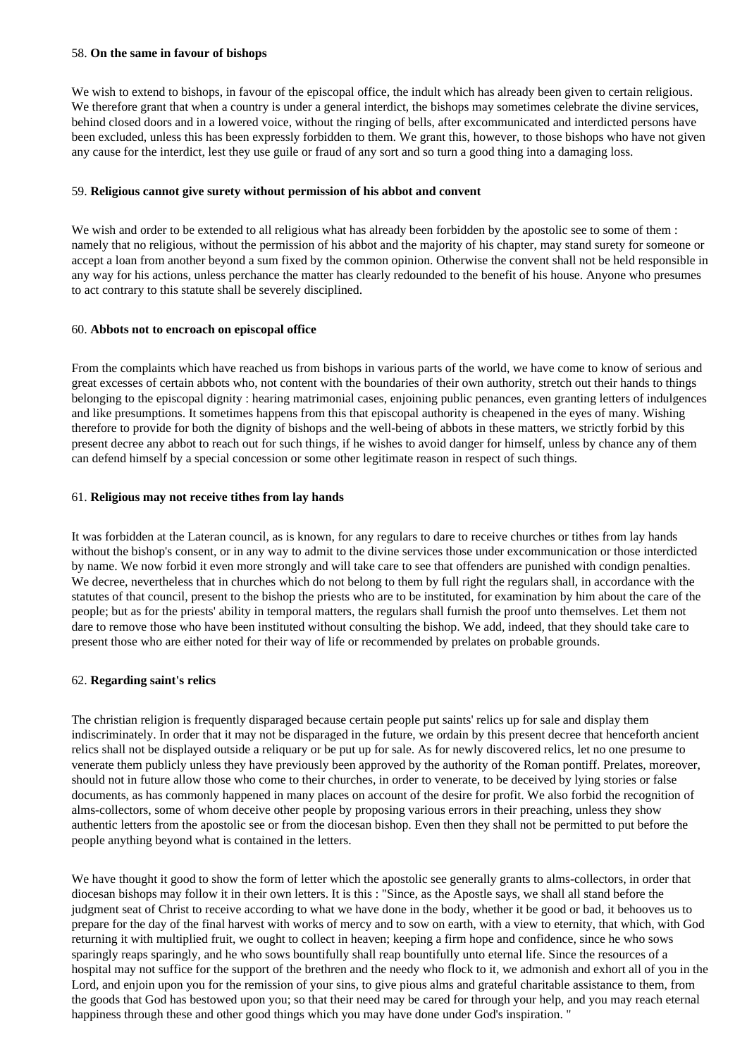## <span id="page-18-0"></span>58. **On the same in favour of bishops**

We wish to extend to bishops, in favour of the episcopal office, the indult which has already been given to certain religious. We therefore grant that when a country is under a general interdict, the bishops may sometimes celebrate the divine services, behind closed doors and in a lowered voice, without the ringing of bells, after excommunicated and interdicted persons have been excluded, unless this has been expressly forbidden to them. We grant this, however, to those bishops who have not given any cause for the interdict, lest they use guile or fraud of any sort and so turn a good thing into a damaging loss.

## <span id="page-18-1"></span>59. **Religious cannot give surety without permission of his abbot and convent**

We wish and order to be extended to all religious what has already been forbidden by the apostolic see to some of them : namely that no religious, without the permission of his abbot and the majority of his chapter, may stand surety for someone or accept a loan from another beyond a sum fixed by the common opinion. Otherwise the convent shall not be held responsible in any way for his actions, unless perchance the matter has clearly redounded to the benefit of his house. Anyone who presumes to act contrary to this statute shall be severely disciplined.

## <span id="page-18-2"></span>60. **Abbots not to encroach on episcopal office**

From the complaints which have reached us from bishops in various parts of the world, we have come to know of serious and great excesses of certain abbots who, not content with the boundaries of their own authority, stretch out their hands to things belonging to the episcopal dignity : hearing matrimonial cases, enjoining public penances, even granting letters of indulgences and like presumptions. It sometimes happens from this that episcopal authority is cheapened in the eyes of many. Wishing therefore to provide for both the dignity of bishops and the well-being of abbots in these matters, we strictly forbid by this present decree any abbot to reach out for such things, if he wishes to avoid danger for himself, unless by chance any of them can defend himself by a special concession or some other legitimate reason in respect of such things.

## <span id="page-18-3"></span>61. **Religious may not receive tithes from lay hands**

It was forbidden at the Lateran council, as is known, for any regulars to dare to receive churches or tithes from lay hands without the bishop's consent, or in any way to admit to the divine services those under excommunication or those interdicted by name. We now forbid it even more strongly and will take care to see that offenders are punished with condign penalties. We decree, nevertheless that in churches which do not belong to them by full right the regulars shall, in accordance with the statutes of that council, present to the bishop the priests who are to be instituted, for examination by him about the care of the people; but as for the priests' ability in temporal matters, the regulars shall furnish the proof unto themselves. Let them not dare to remove those who have been instituted without consulting the bishop. We add, indeed, that they should take care to present those who are either noted for their way of life or recommended by prelates on probable grounds.

# <span id="page-18-4"></span>62. **Regarding saint's relics**

The christian religion is frequently disparaged because certain people put saints' relics up for sale and display them indiscriminately. In order that it may not be disparaged in the future, we ordain by this present decree that henceforth ancient relics shall not be displayed outside a reliquary or be put up for sale. As for newly discovered relics, let no one presume to venerate them publicly unless they have previously been approved by the authority of the Roman pontiff. Prelates, moreover, should not in future allow those who come to their churches, in order to venerate, to be deceived by lying stories or false documents, as has commonly happened in many places on account of the desire for profit. We also forbid the recognition of alms-collectors, some of whom deceive other people by proposing various errors in their preaching, unless they show authentic letters from the apostolic see or from the diocesan bishop. Even then they shall not be permitted to put before the people anything beyond what is contained in the letters.

We have thought it good to show the form of letter which the apostolic see generally grants to alms-collectors, in order that diocesan bishops may follow it in their own letters. It is this : "Since, as the Apostle says, we shall all stand before the judgment seat of Christ to receive according to what we have done in the body, whether it be good or bad, it behooves us to prepare for the day of the final harvest with works of mercy and to sow on earth, with a view to eternity, that which, with God returning it with multiplied fruit, we ought to collect in heaven; keeping a firm hope and confidence, since he who sows sparingly reaps sparingly, and he who sows bountifully shall reap bountifully unto eternal life. Since the resources of a hospital may not suffice for the support of the brethren and the needy who flock to it, we admonish and exhort all of you in the Lord, and enjoin upon you for the remission of your sins, to give pious alms and grateful charitable assistance to them, from the goods that God has bestowed upon you; so that their need may be cared for through your help, and you may reach eternal happiness through these and other good things which you may have done under God's inspiration. "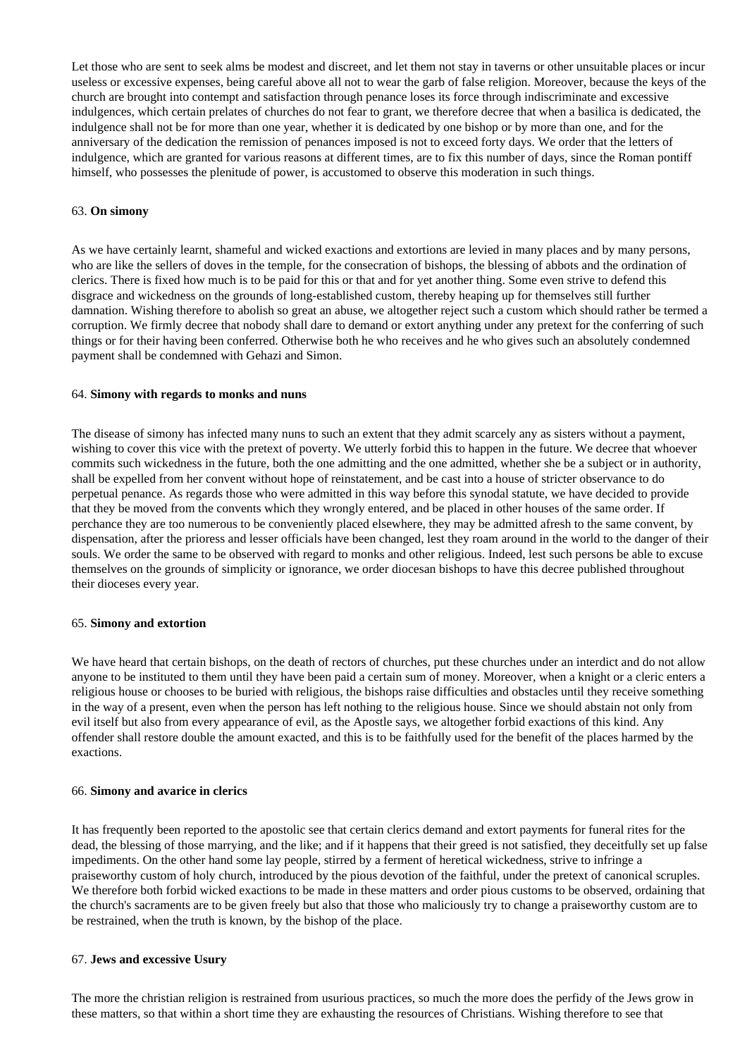Let those who are sent to seek alms be modest and discreet, and let them not stay in taverns or other unsuitable places or incur useless or excessive expenses, being careful above all not to wear the garb of false religion. Moreover, because the keys of the church are brought into contempt and satisfaction through penance loses its force through indiscriminate and excessive indulgences, which certain prelates of churches do not fear to grant, we therefore decree that when a basilica is dedicated, the indulgence shall not be for more than one year, whether it is dedicated by one bishop or by more than one, and for the anniversary of the dedication the remission of penances imposed is not to exceed forty days. We order that the letters of indulgence, which are granted for various reasons at different times, are to fix this number of days, since the Roman pontiff himself, who possesses the plenitude of power, is accustomed to observe this moderation in such things.

# <span id="page-19-0"></span>63. **On simony**

As we have certainly learnt, shameful and wicked exactions and extortions are levied in many places and by many persons, who are like the sellers of doves in the temple, for the consecration of bishops, the blessing of abbots and the ordination of clerics. There is fixed how much is to be paid for this or that and for yet another thing. Some even strive to defend this disgrace and wickedness on the grounds of long-established custom, thereby heaping up for themselves still further damnation. Wishing therefore to abolish so great an abuse, we altogether reject such a custom which should rather be termed a corruption. We firmly decree that nobody shall dare to demand or extort anything under any pretext for the conferring of such things or for their having been conferred. Otherwise both he who receives and he who gives such an absolutely condemned payment shall be condemned with Gehazi and Simon.

## <span id="page-19-1"></span>64. **Simony with regards to monks and nuns**

The disease of simony has infected many nuns to such an extent that they admit scarcely any as sisters without a payment, wishing to cover this vice with the pretext of poverty. We utterly forbid this to happen in the future. We decree that whoever commits such wickedness in the future, both the one admitting and the one admitted, whether she be a subject or in authority, shall be expelled from her convent without hope of reinstatement, and be cast into a house of stricter observance to do perpetual penance. As regards those who were admitted in this way before this synodal statute, we have decided to provide that they be moved from the convents which they wrongly entered, and be placed in other houses of the same order. If perchance they are too numerous to be conveniently placed elsewhere, they may be admitted afresh to the same convent, by dispensation, after the prioress and lesser officials have been changed, lest they roam around in the world to the danger of their souls. We order the same to be observed with regard to monks and other religious. Indeed, lest such persons be able to excuse themselves on the grounds of simplicity or ignorance, we order diocesan bishops to have this decree published throughout their dioceses every year.

# <span id="page-19-2"></span>65. **Simony and extortion**

We have heard that certain bishops, on the death of rectors of churches, put these churches under an interdict and do not allow anyone to be instituted to them until they have been paid a certain sum of money. Moreover, when a knight or a cleric enters a religious house or chooses to be buried with religious, the bishops raise difficulties and obstacles until they receive something in the way of a present, even when the person has left nothing to the religious house. Since we should abstain not only from evil itself but also from every appearance of evil, as the Apostle says, we altogether forbid exactions of this kind. Any offender shall restore double the amount exacted, and this is to be faithfully used for the benefit of the places harmed by the exactions.

## <span id="page-19-3"></span>66. **Simony and avarice in clerics**

It has frequently been reported to the apostolic see that certain clerics demand and extort payments for funeral rites for the dead, the blessing of those marrying, and the like; and if it happens that their greed is not satisfied, they deceitfully set up false impediments. On the other hand some lay people, stirred by a ferment of heretical wickedness, strive to infringe a praiseworthy custom of holy church, introduced by the pious devotion of the faithful, under the pretext of canonical scruples. We therefore both forbid wicked exactions to be made in these matters and order pious customs to be observed, ordaining that the church's sacraments are to be given freely but also that those who maliciously try to change a praiseworthy custom are to be restrained, when the truth is known, by the bishop of the place.

## <span id="page-19-4"></span>67. **Jews and excessive Usury**

The more the christian religion is restrained from usurious practices, so much the more does the perfidy of the Jews grow in these matters, so that within a short time they are exhausting the resources of Christians. Wishing therefore to see that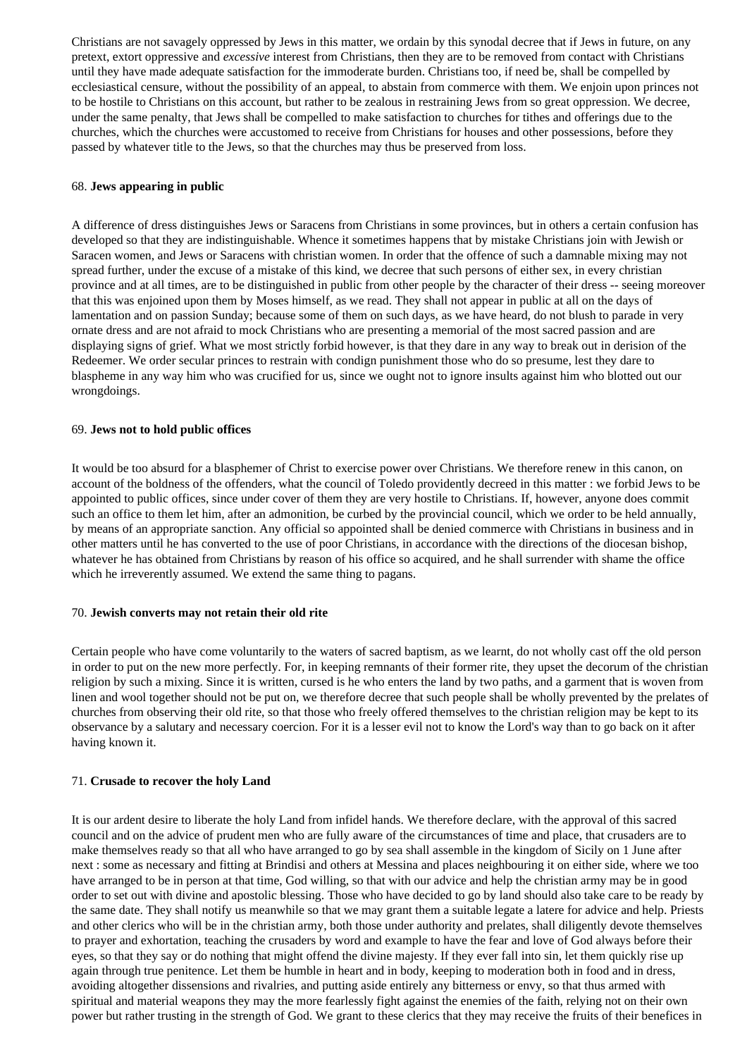Christians are not savagely oppressed by Jews in this matter, we ordain by this synodal decree that if Jews in future, on any pretext, extort oppressive and *excessive* interest from Christians, then they are to be removed from contact with Christians until they have made adequate satisfaction for the immoderate burden. Christians too, if need be, shall be compelled by ecclesiastical censure, without the possibility of an appeal, to abstain from commerce with them. We enjoin upon princes not to be hostile to Christians on this account, but rather to be zealous in restraining Jews from so great oppression. We decree, under the same penalty, that Jews shall be compelled to make satisfaction to churches for tithes and offerings due to the churches, which the churches were accustomed to receive from Christians for houses and other possessions, before they passed by whatever title to the Jews, so that the churches may thus be preserved from loss.

## <span id="page-20-0"></span>68. **Jews appearing in public**

A difference of dress distinguishes Jews or Saracens from Christians in some provinces, but in others a certain confusion has developed so that they are indistinguishable. Whence it sometimes happens that by mistake Christians join with Jewish or Saracen women, and Jews or Saracens with christian women. In order that the offence of such a damnable mixing may not spread further, under the excuse of a mistake of this kind, we decree that such persons of either sex, in every christian province and at all times, are to be distinguished in public from other people by the character of their dress -- seeing moreover that this was enjoined upon them by Moses himself, as we read. They shall not appear in public at all on the days of lamentation and on passion Sunday; because some of them on such days, as we have heard, do not blush to parade in very ornate dress and are not afraid to mock Christians who are presenting a memorial of the most sacred passion and are displaying signs of grief. What we most strictly forbid however, is that they dare in any way to break out in derision of the Redeemer. We order secular princes to restrain with condign punishment those who do so presume, lest they dare to blaspheme in any way him who was crucified for us, since we ought not to ignore insults against him who blotted out our wrongdoings.

## <span id="page-20-1"></span>69. **Jews not to hold public offices**

It would be too absurd for a blasphemer of Christ to exercise power over Christians. We therefore renew in this canon, on account of the boldness of the offenders, what the council of Toledo providently decreed in this matter : we forbid Jews to be appointed to public offices, since under cover of them they are very hostile to Christians. If, however, anyone does commit such an office to them let him, after an admonition, be curbed by the provincial council, which we order to be held annually, by means of an appropriate sanction. Any official so appointed shall be denied commerce with Christians in business and in other matters until he has converted to the use of poor Christians, in accordance with the directions of the diocesan bishop, whatever he has obtained from Christians by reason of his office so acquired, and he shall surrender with shame the office which he irreverently assumed. We extend the same thing to pagans.

## <span id="page-20-2"></span>70. **Jewish converts may not retain their old rite**

Certain people who have come voluntarily to the waters of sacred baptism, as we learnt, do not wholly cast off the old person in order to put on the new more perfectly. For, in keeping remnants of their former rite, they upset the decorum of the christian religion by such a mixing. Since it is written, cursed is he who enters the land by two paths, and a garment that is woven from linen and wool together should not be put on, we therefore decree that such people shall be wholly prevented by the prelates of churches from observing their old rite, so that those who freely offered themselves to the christian religion may be kept to its observance by a salutary and necessary coercion. For it is a lesser evil not to know the Lord's way than to go back on it after having known it.

## <span id="page-20-3"></span>71. **Crusade to recover the holy Land**

It is our ardent desire to liberate the holy Land from infidel hands. We therefore declare, with the approval of this sacred council and on the advice of prudent men who are fully aware of the circumstances of time and place, that crusaders are to make themselves ready so that all who have arranged to go by sea shall assemble in the kingdom of Sicily on 1 June after next : some as necessary and fitting at Brindisi and others at Messina and places neighbouring it on either side, where we too have arranged to be in person at that time, God willing, so that with our advice and help the christian army may be in good order to set out with divine and apostolic blessing. Those who have decided to go by land should also take care to be ready by the same date. They shall notify us meanwhile so that we may grant them a suitable legate a latere for advice and help. Priests and other clerics who will be in the christian army, both those under authority and prelates, shall diligently devote themselves to prayer and exhortation, teaching the crusaders by word and example to have the fear and love of God always before their eyes, so that they say or do nothing that might offend the divine majesty. If they ever fall into sin, let them quickly rise up again through true penitence. Let them be humble in heart and in body, keeping to moderation both in food and in dress, avoiding altogether dissensions and rivalries, and putting aside entirely any bitterness or envy, so that thus armed with spiritual and material weapons they may the more fearlessly fight against the enemies of the faith, relying not on their own power but rather trusting in the strength of God. We grant to these clerics that they may receive the fruits of their benefices in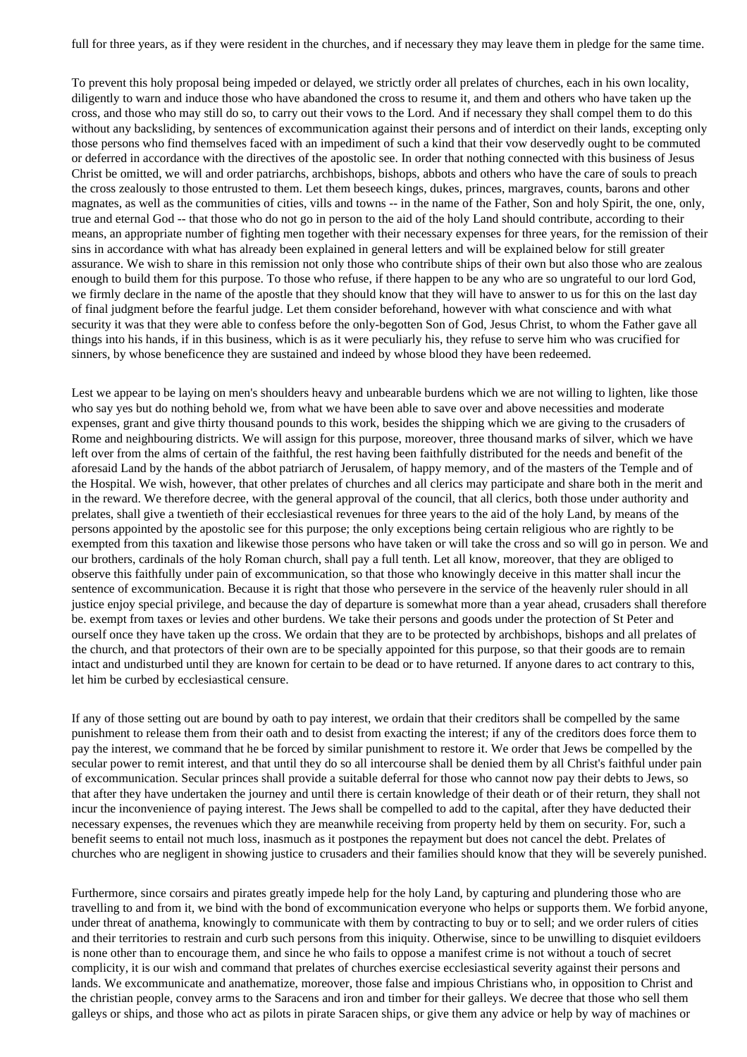full for three years, as if they were resident in the churches, and if necessary they may leave them in pledge for the same time.

To prevent this holy proposal being impeded or delayed, we strictly order all prelates of churches, each in his own locality, diligently to warn and induce those who have abandoned the cross to resume it, and them and others who have taken up the cross, and those who may still do so, to carry out their vows to the Lord. And if necessary they shall compel them to do this without any backsliding, by sentences of excommunication against their persons and of interdict on their lands, excepting only those persons who find themselves faced with an impediment of such a kind that their vow deservedly ought to be commuted or deferred in accordance with the directives of the apostolic see. In order that nothing connected with this business of Jesus Christ be omitted, we will and order patriarchs, archbishops, bishops, abbots and others who have the care of souls to preach the cross zealously to those entrusted to them. Let them beseech kings, dukes, princes, margraves, counts, barons and other magnates, as well as the communities of cities, vills and towns -- in the name of the Father, Son and holy Spirit, the one, only, true and eternal God -- that those who do not go in person to the aid of the holy Land should contribute, according to their means, an appropriate number of fighting men together with their necessary expenses for three years, for the remission of their sins in accordance with what has already been explained in general letters and will be explained below for still greater assurance. We wish to share in this remission not only those who contribute ships of their own but also those who are zealous enough to build them for this purpose. To those who refuse, if there happen to be any who are so ungrateful to our lord God, we firmly declare in the name of the apostle that they should know that they will have to answer to us for this on the last day of final judgment before the fearful judge. Let them consider beforehand, however with what conscience and with what security it was that they were able to confess before the only-begotten Son of God, Jesus Christ, to whom the Father gave all things into his hands, if in this business, which is as it were peculiarly his, they refuse to serve him who was crucified for sinners, by whose beneficence they are sustained and indeed by whose blood they have been redeemed.

Lest we appear to be laying on men's shoulders heavy and unbearable burdens which we are not willing to lighten, like those who say yes but do nothing behold we, from what we have been able to save over and above necessities and moderate expenses, grant and give thirty thousand pounds to this work, besides the shipping which we are giving to the crusaders of Rome and neighbouring districts. We will assign for this purpose, moreover, three thousand marks of silver, which we have left over from the alms of certain of the faithful, the rest having been faithfully distributed for the needs and benefit of the aforesaid Land by the hands of the abbot patriarch of Jerusalem, of happy memory, and of the masters of the Temple and of the Hospital. We wish, however, that other prelates of churches and all clerics may participate and share both in the merit and in the reward. We therefore decree, with the general approval of the council, that all clerics, both those under authority and prelates, shall give a twentieth of their ecclesiastical revenues for three years to the aid of the holy Land, by means of the persons appointed by the apostolic see for this purpose; the only exceptions being certain religious who are rightly to be exempted from this taxation and likewise those persons who have taken or will take the cross and so will go in person. We and our brothers, cardinals of the holy Roman church, shall pay a full tenth. Let all know, moreover, that they are obliged to observe this faithfully under pain of excommunication, so that those who knowingly deceive in this matter shall incur the sentence of excommunication. Because it is right that those who persevere in the service of the heavenly ruler should in all justice enjoy special privilege, and because the day of departure is somewhat more than a year ahead, crusaders shall therefore be. exempt from taxes or levies and other burdens. We take their persons and goods under the protection of St Peter and ourself once they have taken up the cross. We ordain that they are to be protected by archbishops, bishops and all prelates of the church, and that protectors of their own are to be specially appointed for this purpose, so that their goods are to remain intact and undisturbed until they are known for certain to be dead or to have returned. If anyone dares to act contrary to this, let him be curbed by ecclesiastical censure.

If any of those setting out are bound by oath to pay interest, we ordain that their creditors shall be compelled by the same punishment to release them from their oath and to desist from exacting the interest; if any of the creditors does force them to pay the interest, we command that he be forced by similar punishment to restore it. We order that Jews be compelled by the secular power to remit interest, and that until they do so all intercourse shall be denied them by all Christ's faithful under pain of excommunication. Secular princes shall provide a suitable deferral for those who cannot now pay their debts to Jews, so that after they have undertaken the journey and until there is certain knowledge of their death or of their return, they shall not incur the inconvenience of paying interest. The Jews shall be compelled to add to the capital, after they have deducted their necessary expenses, the revenues which they are meanwhile receiving from property held by them on security. For, such a benefit seems to entail not much loss, inasmuch as it postpones the repayment but does not cancel the debt. Prelates of churches who are negligent in showing justice to crusaders and their families should know that they will be severely punished.

Furthermore, since corsairs and pirates greatly impede help for the holy Land, by capturing and plundering those who are travelling to and from it, we bind with the bond of excommunication everyone who helps or supports them. We forbid anyone, under threat of anathema, knowingly to communicate with them by contracting to buy or to sell; and we order rulers of cities and their territories to restrain and curb such persons from this iniquity. Otherwise, since to be unwilling to disquiet evildoers is none other than to encourage them, and since he who fails to oppose a manifest crime is not without a touch of secret complicity, it is our wish and command that prelates of churches exercise ecclesiastical severity against their persons and lands. We excommunicate and anathematize, moreover, those false and impious Christians who, in opposition to Christ and the christian people, convey arms to the Saracens and iron and timber for their galleys. We decree that those who sell them galleys or ships, and those who act as pilots in pirate Saracen ships, or give them any advice or help by way of machines or